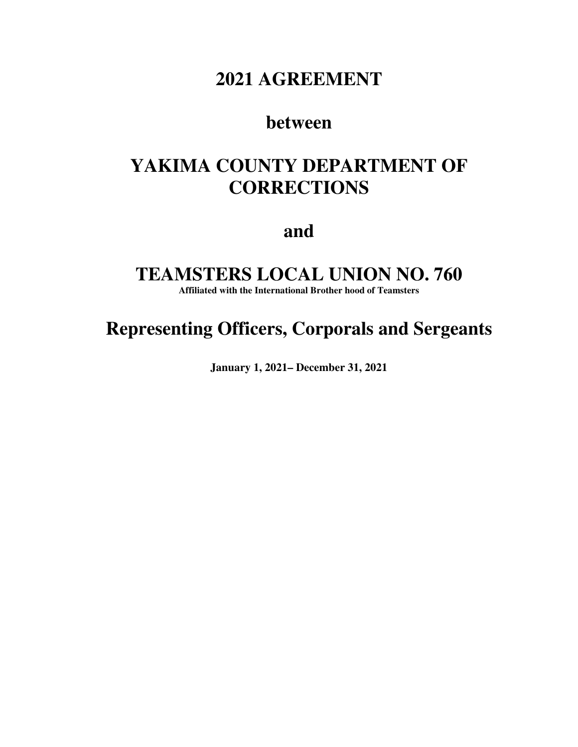## **2021 AGREEMENT**

## **between**

# **YAKIMA COUNTY DEPARTMENT OF CORRECTIONS**

**and** 

## **TEAMSTERS LOCAL UNION NO. 760**

**Affiliated with the International Brother hood of Teamsters** 

# **Representing Officers, Corporals and Sergeants**

**January 1, 2021– December 31, 2021**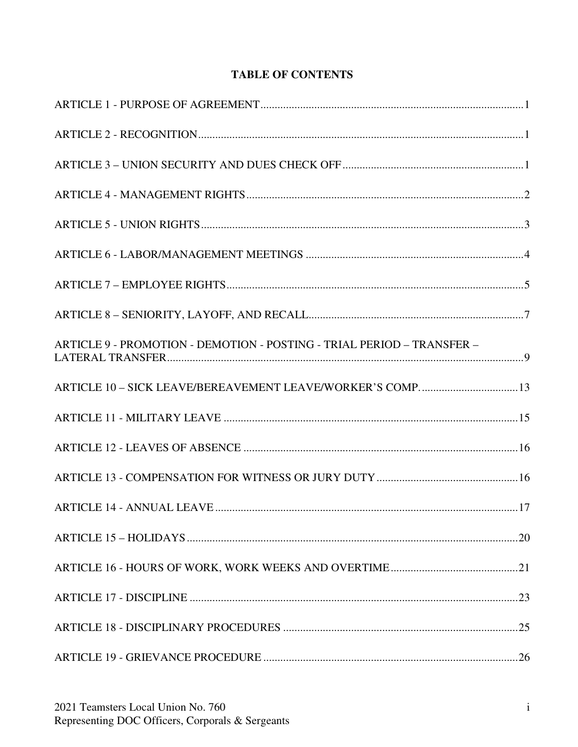## **TABLE OF CONTENTS**

| ARTICLE 9 - PROMOTION - DEMOTION - POSTING - TRIAL PERIOD - TRANSFER - |  |
|------------------------------------------------------------------------|--|
| ARTICLE 10 - SICK LEAVE/BEREAVEMENT LEAVE/WORKER'S COMP 13             |  |
|                                                                        |  |
|                                                                        |  |
|                                                                        |  |
|                                                                        |  |
|                                                                        |  |
|                                                                        |  |
|                                                                        |  |
|                                                                        |  |
|                                                                        |  |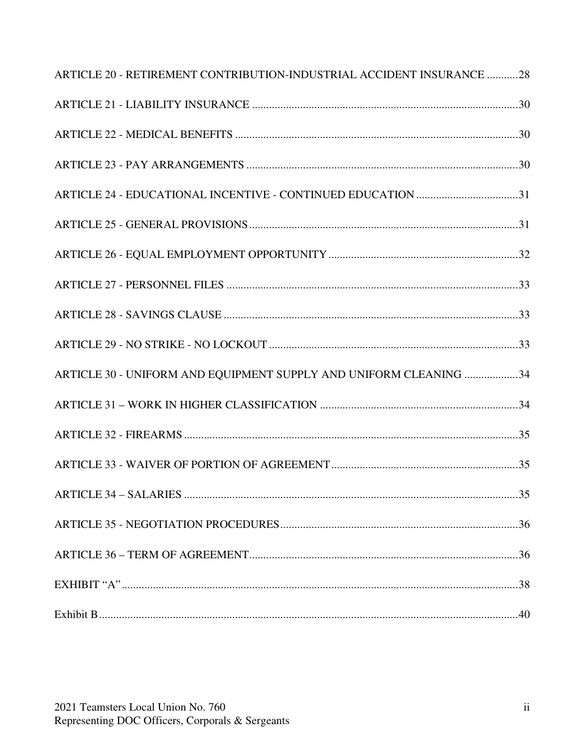| ARTICLE 20 - RETIREMENT CONTRIBUTION-INDUSTRIAL ACCIDENT INSURANCE 28 |  |
|-----------------------------------------------------------------------|--|
|                                                                       |  |
|                                                                       |  |
|                                                                       |  |
| ARTICLE 24 - EDUCATIONAL INCENTIVE - CONTINUED EDUCATION 31           |  |
|                                                                       |  |
|                                                                       |  |
|                                                                       |  |
|                                                                       |  |
|                                                                       |  |
| ARTICLE 30 - UNIFORM AND EQUIPMENT SUPPLY AND UNIFORM CLEANING 34     |  |
|                                                                       |  |
|                                                                       |  |
|                                                                       |  |
|                                                                       |  |
|                                                                       |  |
|                                                                       |  |
|                                                                       |  |
|                                                                       |  |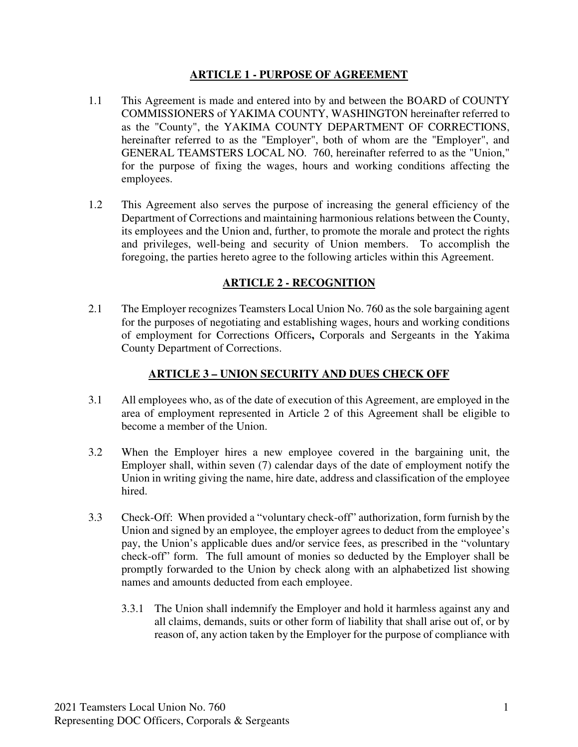#### **ARTICLE 1 - PURPOSE OF AGREEMENT**

- 1.1 This Agreement is made and entered into by and between the BOARD of COUNTY COMMISSIONERS of YAKIMA COUNTY, WASHINGTON hereinafter referred to as the "County", the YAKIMA COUNTY DEPARTMENT OF CORRECTIONS, hereinafter referred to as the "Employer", both of whom are the "Employer", and GENERAL TEAMSTERS LOCAL NO. 760, hereinafter referred to as the "Union," for the purpose of fixing the wages, hours and working conditions affecting the employees.
- 1.2 This Agreement also serves the purpose of increasing the general efficiency of the Department of Corrections and maintaining harmonious relations between the County, its employees and the Union and, further, to promote the morale and protect the rights and privileges, well-being and security of Union members. To accomplish the foregoing, the parties hereto agree to the following articles within this Agreement.

### **ARTICLE 2 - RECOGNITION**

2.1 The Employer recognizes Teamsters Local Union No. 760 as the sole bargaining agent for the purposes of negotiating and establishing wages, hours and working conditions of employment for Corrections Officers**,** Corporals and Sergeants in the Yakima County Department of Corrections.

### **ARTICLE 3 – UNION SECURITY AND DUES CHECK OFF**

- 3.1 All employees who, as of the date of execution of this Agreement, are employed in the area of employment represented in Article 2 of this Agreement shall be eligible to become a member of the Union.
- 3.2 When the Employer hires a new employee covered in the bargaining unit, the Employer shall, within seven (7) calendar days of the date of employment notify the Union in writing giving the name, hire date, address and classification of the employee hired.
- 3.3 Check-Off: When provided a "voluntary check-off" authorization, form furnish by the Union and signed by an employee, the employer agrees to deduct from the employee's pay, the Union's applicable dues and/or service fees, as prescribed in the "voluntary check-off" form. The full amount of monies so deducted by the Employer shall be promptly forwarded to the Union by check along with an alphabetized list showing names and amounts deducted from each employee.
	- 3.3.1 The Union shall indemnify the Employer and hold it harmless against any and all claims, demands, suits or other form of liability that shall arise out of, or by reason of, any action taken by the Employer for the purpose of compliance with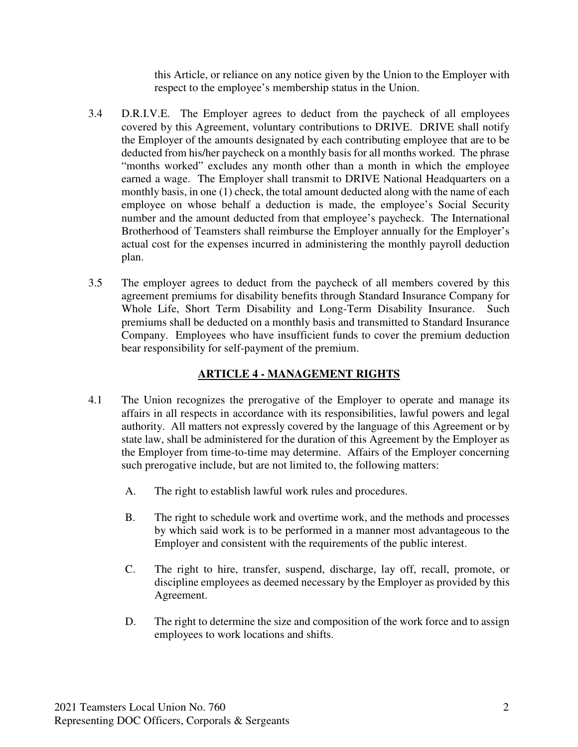this Article, or reliance on any notice given by the Union to the Employer with respect to the employee's membership status in the Union.

- 3.4 D.R.I.V.E. The Employer agrees to deduct from the paycheck of all employees covered by this Agreement, voluntary contributions to DRIVE. DRIVE shall notify the Employer of the amounts designated by each contributing employee that are to be deducted from his/her paycheck on a monthly basis for all months worked. The phrase "months worked" excludes any month other than a month in which the employee earned a wage. The Employer shall transmit to DRIVE National Headquarters on a monthly basis, in one (1) check, the total amount deducted along with the name of each employee on whose behalf a deduction is made, the employee's Social Security number and the amount deducted from that employee's paycheck. The International Brotherhood of Teamsters shall reimburse the Employer annually for the Employer's actual cost for the expenses incurred in administering the monthly payroll deduction plan.
- 3.5 The employer agrees to deduct from the paycheck of all members covered by this agreement premiums for disability benefits through Standard Insurance Company for Whole Life, Short Term Disability and Long-Term Disability Insurance. Such premiums shall be deducted on a monthly basis and transmitted to Standard Insurance Company. Employees who have insufficient funds to cover the premium deduction bear responsibility for self-payment of the premium.

## **ARTICLE 4 - MANAGEMENT RIGHTS**

- 4.1 The Union recognizes the prerogative of the Employer to operate and manage its affairs in all respects in accordance with its responsibilities, lawful powers and legal authority. All matters not expressly covered by the language of this Agreement or by state law, shall be administered for the duration of this Agreement by the Employer as the Employer from time-to-time may determine. Affairs of the Employer concerning such prerogative include, but are not limited to, the following matters:
	- A. The right to establish lawful work rules and procedures.
	- B. The right to schedule work and overtime work, and the methods and processes by which said work is to be performed in a manner most advantageous to the Employer and consistent with the requirements of the public interest.
	- C. The right to hire, transfer, suspend, discharge, lay off, recall, promote, or discipline employees as deemed necessary by the Employer as provided by this Agreement.
	- D. The right to determine the size and composition of the work force and to assign employees to work locations and shifts.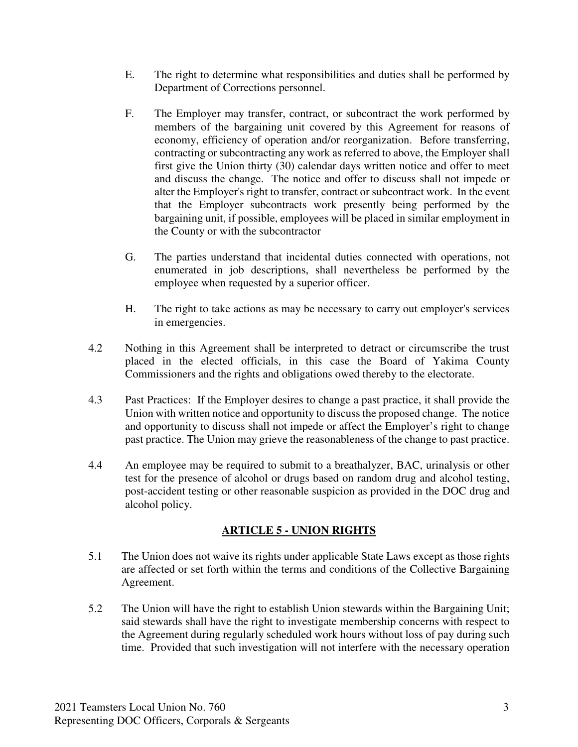- E. The right to determine what responsibilities and duties shall be performed by Department of Corrections personnel.
- F. The Employer may transfer, contract, or subcontract the work performed by members of the bargaining unit covered by this Agreement for reasons of economy, efficiency of operation and/or reorganization. Before transferring, contracting or subcontracting any work as referred to above, the Employer shall first give the Union thirty (30) calendar days written notice and offer to meet and discuss the change. The notice and offer to discuss shall not impede or alter the Employer's right to transfer, contract or subcontract work. In the event that the Employer subcontracts work presently being performed by the bargaining unit, if possible, employees will be placed in similar employment in the County or with the subcontractor
- G. The parties understand that incidental duties connected with operations, not enumerated in job descriptions, shall nevertheless be performed by the employee when requested by a superior officer.
- H. The right to take actions as may be necessary to carry out employer's services in emergencies.
- 4.2 Nothing in this Agreement shall be interpreted to detract or circumscribe the trust placed in the elected officials, in this case the Board of Yakima County Commissioners and the rights and obligations owed thereby to the electorate.
- 4.3 Past Practices: If the Employer desires to change a past practice, it shall provide the Union with written notice and opportunity to discuss the proposed change. The notice and opportunity to discuss shall not impede or affect the Employer's right to change past practice. The Union may grieve the reasonableness of the change to past practice.
- 4.4 An employee may be required to submit to a breathalyzer, BAC, urinalysis or other test for the presence of alcohol or drugs based on random drug and alcohol testing, post-accident testing or other reasonable suspicion as provided in the DOC drug and alcohol policy.

#### **ARTICLE 5 - UNION RIGHTS**

- 5.1 The Union does not waive its rights under applicable State Laws except as those rights are affected or set forth within the terms and conditions of the Collective Bargaining Agreement.
- 5.2 The Union will have the right to establish Union stewards within the Bargaining Unit; said stewards shall have the right to investigate membership concerns with respect to the Agreement during regularly scheduled work hours without loss of pay during such time. Provided that such investigation will not interfere with the necessary operation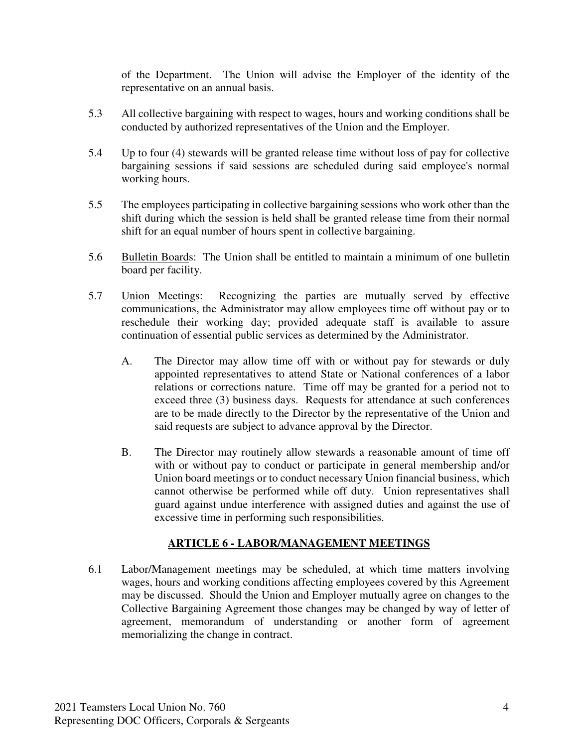of the Department. The Union will advise the Employer of the identity of the representative on an annual basis.

- 5.3 All collective bargaining with respect to wages, hours and working conditions shall be conducted by authorized representatives of the Union and the Employer.
- 5.4 Up to four (4) stewards will be granted release time without loss of pay for collective bargaining sessions if said sessions are scheduled during said employee's normal working hours.
- 5.5 The employees participating in collective bargaining sessions who work other than the shift during which the session is held shall be granted release time from their normal shift for an equal number of hours spent in collective bargaining.
- 5.6 Bulletin Boards: The Union shall be entitled to maintain a minimum of one bulletin board per facility.
- 5.7 Union Meetings: Recognizing the parties are mutually served by effective communications, the Administrator may allow employees time off without pay or to reschedule their working day; provided adequate staff is available to assure continuation of essential public services as determined by the Administrator.
	- A. The Director may allow time off with or without pay for stewards or duly appointed representatives to attend State or National conferences of a labor relations or corrections nature. Time off may be granted for a period not to exceed three (3) business days. Requests for attendance at such conferences are to be made directly to the Director by the representative of the Union and said requests are subject to advance approval by the Director.
	- B. The Director may routinely allow stewards a reasonable amount of time off with or without pay to conduct or participate in general membership and/or Union board meetings or to conduct necessary Union financial business, which cannot otherwise be performed while off duty. Union representatives shall guard against undue interference with assigned duties and against the use of excessive time in performing such responsibilities.

#### **ARTICLE 6 - LABOR/MANAGEMENT MEETINGS**

6.1 Labor/Management meetings may be scheduled, at which time matters involving wages, hours and working conditions affecting employees covered by this Agreement may be discussed. Should the Union and Employer mutually agree on changes to the Collective Bargaining Agreement those changes may be changed by way of letter of agreement, memorandum of understanding or another form of agreement memorializing the change in contract.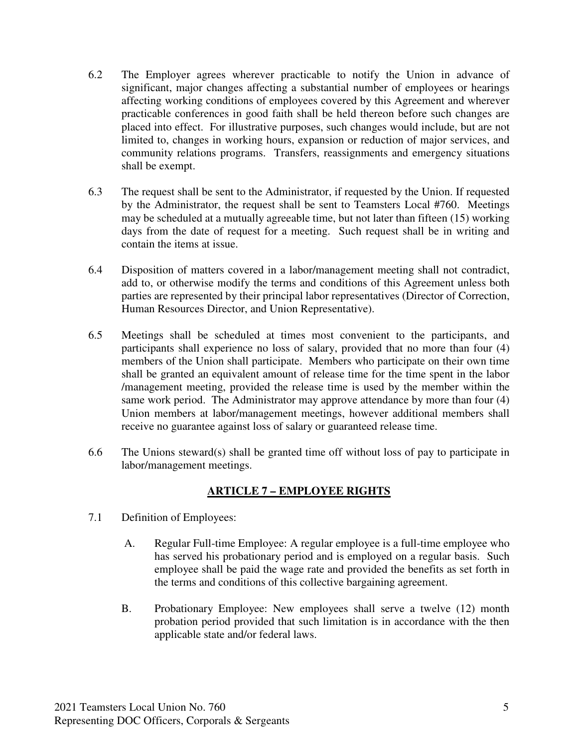- 6.2 The Employer agrees wherever practicable to notify the Union in advance of significant, major changes affecting a substantial number of employees or hearings affecting working conditions of employees covered by this Agreement and wherever practicable conferences in good faith shall be held thereon before such changes are placed into effect. For illustrative purposes, such changes would include, but are not limited to, changes in working hours, expansion or reduction of major services, and community relations programs. Transfers, reassignments and emergency situations shall be exempt.
- 6.3 The request shall be sent to the Administrator, if requested by the Union. If requested by the Administrator, the request shall be sent to Teamsters Local #760. Meetings may be scheduled at a mutually agreeable time, but not later than fifteen (15) working days from the date of request for a meeting. Such request shall be in writing and contain the items at issue.
- 6.4 Disposition of matters covered in a labor/management meeting shall not contradict, add to, or otherwise modify the terms and conditions of this Agreement unless both parties are represented by their principal labor representatives (Director of Correction, Human Resources Director, and Union Representative).
- 6.5 Meetings shall be scheduled at times most convenient to the participants, and participants shall experience no loss of salary, provided that no more than four (4) members of the Union shall participate. Members who participate on their own time shall be granted an equivalent amount of release time for the time spent in the labor /management meeting, provided the release time is used by the member within the same work period. The Administrator may approve attendance by more than four (4) Union members at labor/management meetings, however additional members shall receive no guarantee against loss of salary or guaranteed release time.
- 6.6 The Unions steward(s) shall be granted time off without loss of pay to participate in labor/management meetings.

## **ARTICLE 7 – EMPLOYEE RIGHTS**

- 7.1 Definition of Employees:
	- A. Regular Full-time Employee: A regular employee is a full-time employee who has served his probationary period and is employed on a regular basis. Such employee shall be paid the wage rate and provided the benefits as set forth in the terms and conditions of this collective bargaining agreement.
	- B. Probationary Employee: New employees shall serve a twelve (12) month probation period provided that such limitation is in accordance with the then applicable state and/or federal laws.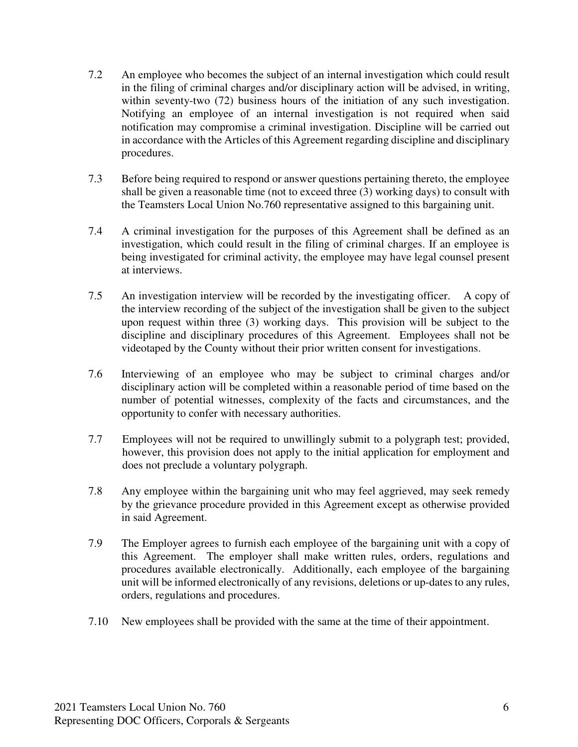- 7.2 An employee who becomes the subject of an internal investigation which could result in the filing of criminal charges and/or disciplinary action will be advised, in writing, within seventy-two (72) business hours of the initiation of any such investigation. Notifying an employee of an internal investigation is not required when said notification may compromise a criminal investigation. Discipline will be carried out in accordance with the Articles of this Agreement regarding discipline and disciplinary procedures.
- 7.3 Before being required to respond or answer questions pertaining thereto, the employee shall be given a reasonable time (not to exceed three (3) working days) to consult with the Teamsters Local Union No.760 representative assigned to this bargaining unit.
- 7.4 A criminal investigation for the purposes of this Agreement shall be defined as an investigation, which could result in the filing of criminal charges. If an employee is being investigated for criminal activity, the employee may have legal counsel present at interviews.
- 7.5 An investigation interview will be recorded by the investigating officer. A copy of the interview recording of the subject of the investigation shall be given to the subject upon request within three (3) working days. This provision will be subject to the discipline and disciplinary procedures of this Agreement. Employees shall not be videotaped by the County without their prior written consent for investigations.
- 7.6 Interviewing of an employee who may be subject to criminal charges and/or disciplinary action will be completed within a reasonable period of time based on the number of potential witnesses, complexity of the facts and circumstances, and the opportunity to confer with necessary authorities.
- 7.7 Employees will not be required to unwillingly submit to a polygraph test; provided, however, this provision does not apply to the initial application for employment and does not preclude a voluntary polygraph.
- 7.8 Any employee within the bargaining unit who may feel aggrieved, may seek remedy by the grievance procedure provided in this Agreement except as otherwise provided in said Agreement.
- 7.9 The Employer agrees to furnish each employee of the bargaining unit with a copy of this Agreement. The employer shall make written rules, orders, regulations and procedures available electronically. Additionally, each employee of the bargaining unit will be informed electronically of any revisions, deletions or up-dates to any rules, orders, regulations and procedures.
- 7.10 New employees shall be provided with the same at the time of their appointment.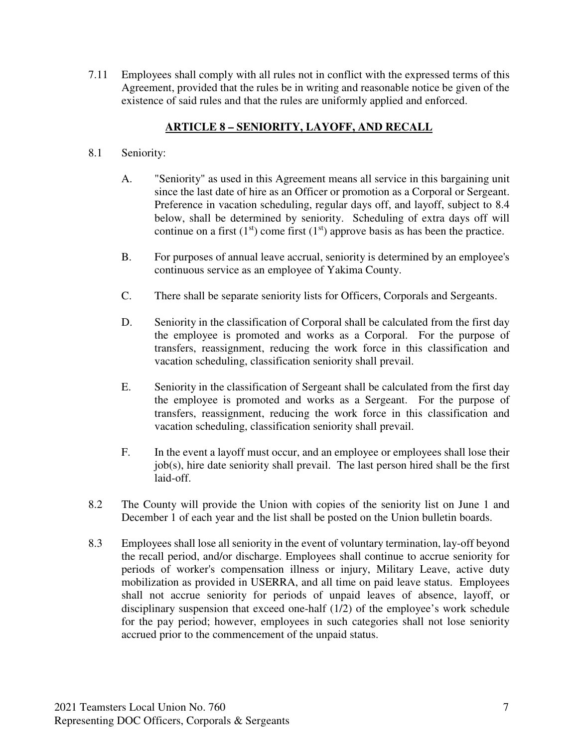7.11 Employees shall comply with all rules not in conflict with the expressed terms of this Agreement, provided that the rules be in writing and reasonable notice be given of the existence of said rules and that the rules are uniformly applied and enforced.

### **ARTICLE 8 – SENIORITY, LAYOFF, AND RECALL**

- 8.1 Seniority:
	- A. "Seniority" as used in this Agreement means all service in this bargaining unit since the last date of hire as an Officer or promotion as a Corporal or Sergeant. Preference in vacation scheduling, regular days off, and layoff, subject to 8.4 below, shall be determined by seniority. Scheduling of extra days off will continue on a first  $(1<sup>st</sup>)$  come first  $(1<sup>st</sup>)$  approve basis as has been the practice.
	- B. For purposes of annual leave accrual, seniority is determined by an employee's continuous service as an employee of Yakima County.
	- C. There shall be separate seniority lists for Officers, Corporals and Sergeants.
	- D. Seniority in the classification of Corporal shall be calculated from the first day the employee is promoted and works as a Corporal. For the purpose of transfers, reassignment, reducing the work force in this classification and vacation scheduling, classification seniority shall prevail.
	- E. Seniority in the classification of Sergeant shall be calculated from the first day the employee is promoted and works as a Sergeant. For the purpose of transfers, reassignment, reducing the work force in this classification and vacation scheduling, classification seniority shall prevail.
	- F. In the event a layoff must occur, and an employee or employees shall lose their job(s), hire date seniority shall prevail. The last person hired shall be the first laid-off.
- 8.2 The County will provide the Union with copies of the seniority list on June 1 and December 1 of each year and the list shall be posted on the Union bulletin boards.
- 8.3 Employees shall lose all seniority in the event of voluntary termination, lay-off beyond the recall period, and/or discharge. Employees shall continue to accrue seniority for periods of worker's compensation illness or injury, Military Leave, active duty mobilization as provided in USERRA, and all time on paid leave status. Employees shall not accrue seniority for periods of unpaid leaves of absence, layoff, or disciplinary suspension that exceed one-half (1/2) of the employee's work schedule for the pay period; however, employees in such categories shall not lose seniority accrued prior to the commencement of the unpaid status.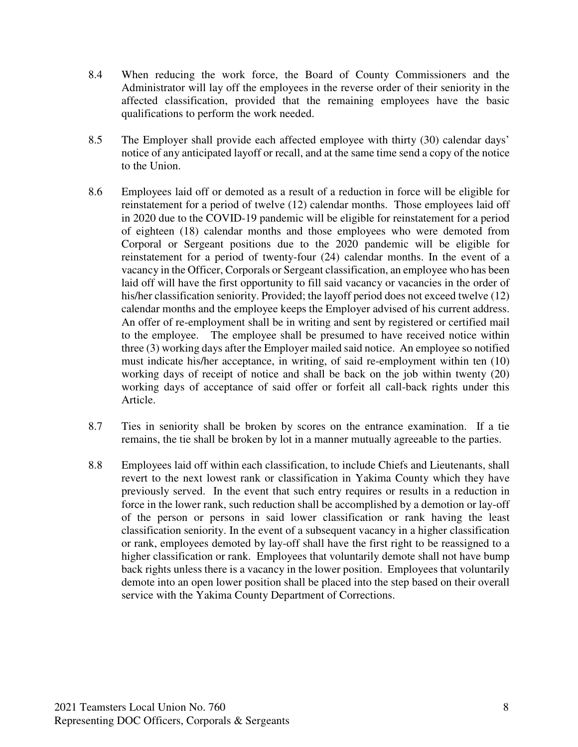- 8.4 When reducing the work force, the Board of County Commissioners and the Administrator will lay off the employees in the reverse order of their seniority in the affected classification, provided that the remaining employees have the basic qualifications to perform the work needed.
- 8.5 The Employer shall provide each affected employee with thirty (30) calendar days' notice of any anticipated layoff or recall, and at the same time send a copy of the notice to the Union.
- 8.6 Employees laid off or demoted as a result of a reduction in force will be eligible for reinstatement for a period of twelve (12) calendar months. Those employees laid off in 2020 due to the COVID-19 pandemic will be eligible for reinstatement for a period of eighteen (18) calendar months and those employees who were demoted from Corporal or Sergeant positions due to the 2020 pandemic will be eligible for reinstatement for a period of twenty-four (24) calendar months. In the event of a vacancy in the Officer, Corporals or Sergeant classification, an employee who has been laid off will have the first opportunity to fill said vacancy or vacancies in the order of his/her classification seniority. Provided; the layoff period does not exceed twelve (12) calendar months and the employee keeps the Employer advised of his current address. An offer of re-employment shall be in writing and sent by registered or certified mail to the employee. The employee shall be presumed to have received notice within three (3) working days after the Employer mailed said notice. An employee so notified must indicate his/her acceptance, in writing, of said re-employment within ten (10) working days of receipt of notice and shall be back on the job within twenty (20) working days of acceptance of said offer or forfeit all call-back rights under this Article.
- 8.7 Ties in seniority shall be broken by scores on the entrance examination. If a tie remains, the tie shall be broken by lot in a manner mutually agreeable to the parties.
- 8.8 Employees laid off within each classification, to include Chiefs and Lieutenants, shall revert to the next lowest rank or classification in Yakima County which they have previously served. In the event that such entry requires or results in a reduction in force in the lower rank, such reduction shall be accomplished by a demotion or lay-off of the person or persons in said lower classification or rank having the least classification seniority. In the event of a subsequent vacancy in a higher classification or rank, employees demoted by lay-off shall have the first right to be reassigned to a higher classification or rank. Employees that voluntarily demote shall not have bump back rights unless there is a vacancy in the lower position. Employees that voluntarily demote into an open lower position shall be placed into the step based on their overall service with the Yakima County Department of Corrections.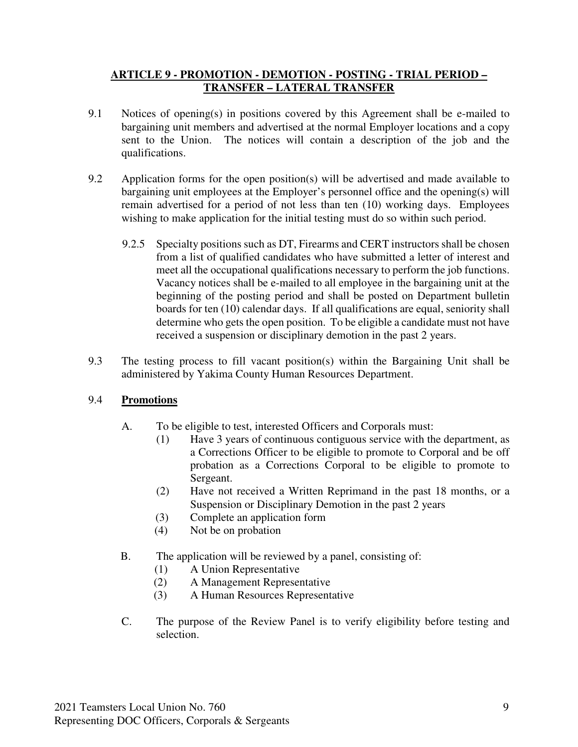#### **ARTICLE 9 - PROMOTION - DEMOTION - POSTING - TRIAL PERIOD – TRANSFER – LATERAL TRANSFER**

- 9.1 Notices of opening(s) in positions covered by this Agreement shall be e-mailed to bargaining unit members and advertised at the normal Employer locations and a copy sent to the Union. The notices will contain a description of the job and the qualifications.
- 9.2 Application forms for the open position(s) will be advertised and made available to bargaining unit employees at the Employer's personnel office and the opening(s) will remain advertised for a period of not less than ten (10) working days. Employees wishing to make application for the initial testing must do so within such period.
	- 9.2.5 Specialty positions such as DT, Firearms and CERT instructors shall be chosen from a list of qualified candidates who have submitted a letter of interest and meet all the occupational qualifications necessary to perform the job functions. Vacancy notices shall be e-mailed to all employee in the bargaining unit at the beginning of the posting period and shall be posted on Department bulletin boards for ten (10) calendar days. If all qualifications are equal, seniority shall determine who gets the open position. To be eligible a candidate must not have received a suspension or disciplinary demotion in the past 2 years.
- 9.3 The testing process to fill vacant position(s) within the Bargaining Unit shall be administered by Yakima County Human Resources Department.

## 9.4 **Promotions**

- A. To be eligible to test, interested Officers and Corporals must:
	- (1) Have 3 years of continuous contiguous service with the department, as a Corrections Officer to be eligible to promote to Corporal and be off probation as a Corrections Corporal to be eligible to promote to Sergeant.
	- (2) Have not received a Written Reprimand in the past 18 months, or a Suspension or Disciplinary Demotion in the past 2 years
	- (3) Complete an application form
	- (4) Not be on probation
- B. The application will be reviewed by a panel, consisting of:
	- (1) A Union Representative
	- (2) A Management Representative
	- (3) A Human Resources Representative
- C. The purpose of the Review Panel is to verify eligibility before testing and selection.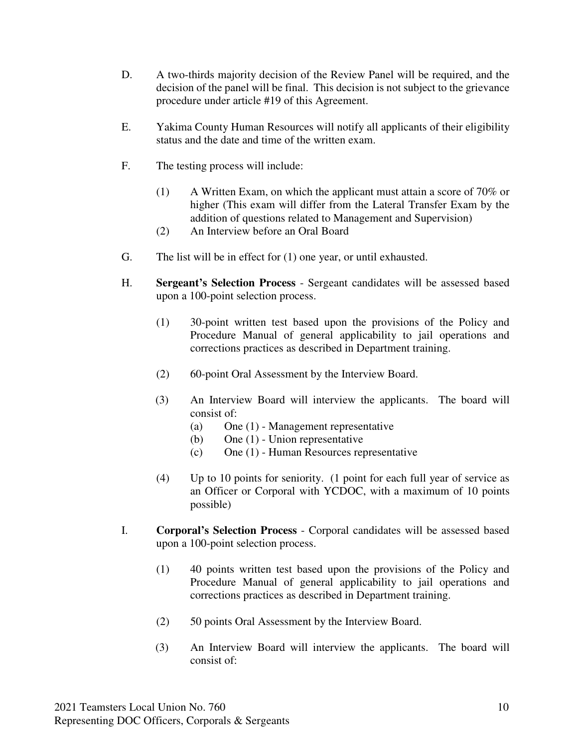- D. A two-thirds majority decision of the Review Panel will be required, and the decision of the panel will be final. This decision is not subject to the grievance procedure under article #19 of this Agreement.
- E. Yakima County Human Resources will notify all applicants of their eligibility status and the date and time of the written exam.
- F. The testing process will include:
	- (1) A Written Exam, on which the applicant must attain a score of 70% or higher (This exam will differ from the Lateral Transfer Exam by the addition of questions related to Management and Supervision)
	- (2) An Interview before an Oral Board
- G. The list will be in effect for (1) one year, or until exhausted.
- H. **Sergeant's Selection Process** Sergeant candidates will be assessed based upon a 100-point selection process.
	- (1) 30-point written test based upon the provisions of the Policy and Procedure Manual of general applicability to jail operations and corrections practices as described in Department training.
	- (2) 60-point Oral Assessment by the Interview Board.
	- (3) An Interview Board will interview the applicants. The board will consist of:
		- (a) One (1) Management representative
		- (b) One (1) Union representative
		- (c) One (1) Human Resources representative
	- (4) Up to 10 points for seniority. (1 point for each full year of service as an Officer or Corporal with YCDOC, with a maximum of 10 points possible)
- I. **Corporal's Selection Process** Corporal candidates will be assessed based upon a 100-point selection process.
	- (1) 40 points written test based upon the provisions of the Policy and Procedure Manual of general applicability to jail operations and corrections practices as described in Department training.
	- (2) 50 points Oral Assessment by the Interview Board.
	- (3) An Interview Board will interview the applicants. The board will consist of: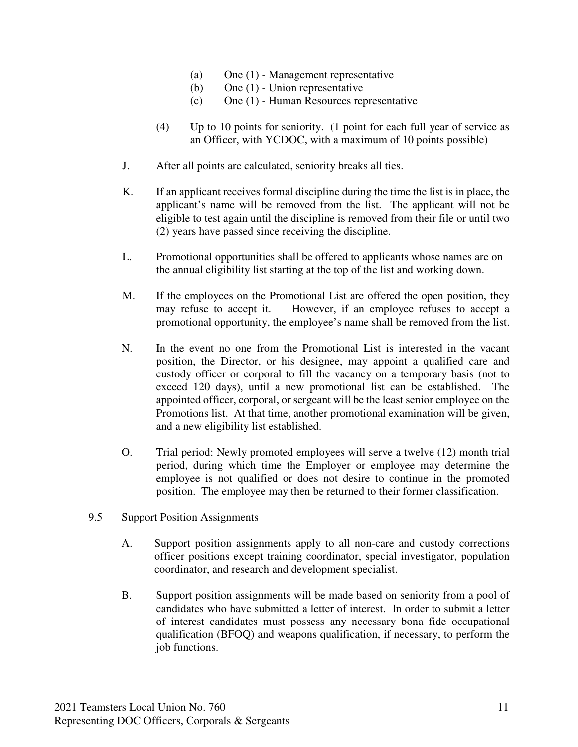- (a) One (1) Management representative
- (b) One (1) Union representative
- (c) One (1) Human Resources representative
- (4) Up to 10 points for seniority. (1 point for each full year of service as an Officer, with YCDOC, with a maximum of 10 points possible)
- J. After all points are calculated, seniority breaks all ties.
- K. If an applicant receives formal discipline during the time the list is in place, the applicant's name will be removed from the list. The applicant will not be eligible to test again until the discipline is removed from their file or until two (2) years have passed since receiving the discipline.
- L. Promotional opportunities shall be offered to applicants whose names are on the annual eligibility list starting at the top of the list and working down.
- M. If the employees on the Promotional List are offered the open position, they may refuse to accept it. However, if an employee refuses to accept a promotional opportunity, the employee's name shall be removed from the list.
- N. In the event no one from the Promotional List is interested in the vacant position, the Director, or his designee, may appoint a qualified care and custody officer or corporal to fill the vacancy on a temporary basis (not to exceed 120 days), until a new promotional list can be established. The appointed officer, corporal, or sergeant will be the least senior employee on the Promotions list. At that time, another promotional examination will be given, and a new eligibility list established.
- O. Trial period: Newly promoted employees will serve a twelve (12) month trial period, during which time the Employer or employee may determine the employee is not qualified or does not desire to continue in the promoted position. The employee may then be returned to their former classification.
- 9.5 Support Position Assignments
	- A. Support position assignments apply to all non-care and custody corrections officer positions except training coordinator, special investigator, population coordinator, and research and development specialist.
	- B. Support position assignments will be made based on seniority from a pool of candidates who have submitted a letter of interest. In order to submit a letter of interest candidates must possess any necessary bona fide occupational qualification (BFOQ) and weapons qualification, if necessary, to perform the job functions.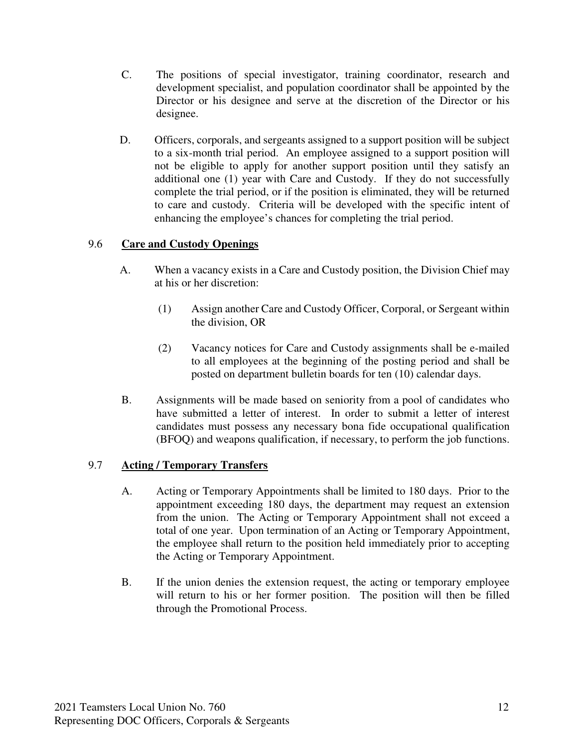- C. The positions of special investigator, training coordinator, research and development specialist, and population coordinator shall be appointed by the Director or his designee and serve at the discretion of the Director or his designee.
- D. Officers, corporals, and sergeants assigned to a support position will be subject to a six-month trial period. An employee assigned to a support position will not be eligible to apply for another support position until they satisfy an additional one (1) year with Care and Custody. If they do not successfully complete the trial period, or if the position is eliminated, they will be returned to care and custody. Criteria will be developed with the specific intent of enhancing the employee's chances for completing the trial period.

### 9.6 **Care and Custody Openings**

- A. When a vacancy exists in a Care and Custody position, the Division Chief may at his or her discretion:
	- (1) Assign another Care and Custody Officer, Corporal, or Sergeant within the division, OR
	- (2) Vacancy notices for Care and Custody assignments shall be e-mailed to all employees at the beginning of the posting period and shall be posted on department bulletin boards for ten (10) calendar days.
- B. Assignments will be made based on seniority from a pool of candidates who have submitted a letter of interest. In order to submit a letter of interest candidates must possess any necessary bona fide occupational qualification (BFOQ) and weapons qualification, if necessary, to perform the job functions.

#### 9.7 **Acting / Temporary Transfers**

- A. Acting or Temporary Appointments shall be limited to 180 days. Prior to the appointment exceeding 180 days, the department may request an extension from the union. The Acting or Temporary Appointment shall not exceed a total of one year. Upon termination of an Acting or Temporary Appointment, the employee shall return to the position held immediately prior to accepting the Acting or Temporary Appointment.
- B. If the union denies the extension request, the acting or temporary employee will return to his or her former position. The position will then be filled through the Promotional Process.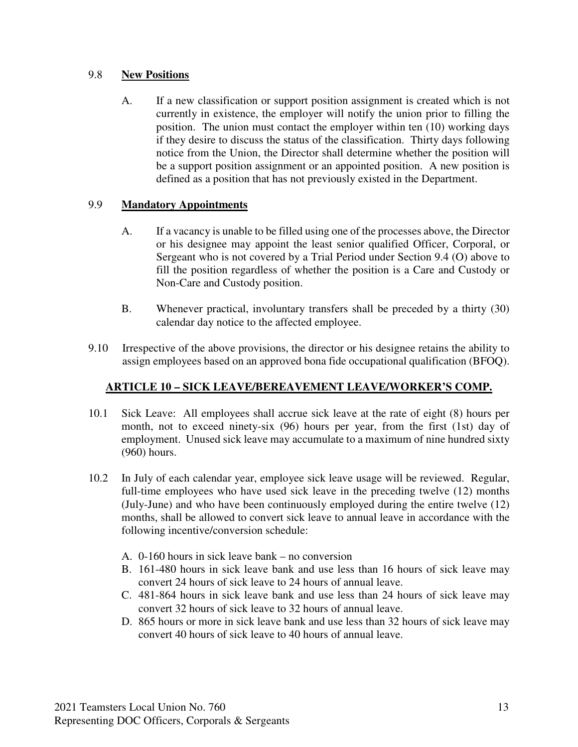#### 9.8 **New Positions**

A. If a new classification or support position assignment is created which is not currently in existence, the employer will notify the union prior to filling the position. The union must contact the employer within ten (10) working days if they desire to discuss the status of the classification. Thirty days following notice from the Union, the Director shall determine whether the position will be a support position assignment or an appointed position. A new position is defined as a position that has not previously existed in the Department.

### 9.9 **Mandatory Appointments**

- A. If a vacancy is unable to be filled using one of the processes above, the Director or his designee may appoint the least senior qualified Officer, Corporal, or Sergeant who is not covered by a Trial Period under Section 9.4 (O) above to fill the position regardless of whether the position is a Care and Custody or Non-Care and Custody position.
- B. Whenever practical, involuntary transfers shall be preceded by a thirty (30) calendar day notice to the affected employee.
- 9.10 Irrespective of the above provisions, the director or his designee retains the ability to assign employees based on an approved bona fide occupational qualification (BFOQ).

## **ARTICLE 10 – SICK LEAVE/BEREAVEMENT LEAVE/WORKER'S COMP.**

- 10.1 Sick Leave: All employees shall accrue sick leave at the rate of eight (8) hours per month, not to exceed ninety-six (96) hours per year, from the first (1st) day of employment. Unused sick leave may accumulate to a maximum of nine hundred sixty (960) hours.
- 10.2 In July of each calendar year, employee sick leave usage will be reviewed. Regular, full-time employees who have used sick leave in the preceding twelve (12) months (July-June) and who have been continuously employed during the entire twelve (12) months, shall be allowed to convert sick leave to annual leave in accordance with the following incentive/conversion schedule:
	- A. 0-160 hours in sick leave bank no conversion
	- B. 161-480 hours in sick leave bank and use less than 16 hours of sick leave may convert 24 hours of sick leave to 24 hours of annual leave.
	- C. 481-864 hours in sick leave bank and use less than 24 hours of sick leave may convert 32 hours of sick leave to 32 hours of annual leave.
	- D. 865 hours or more in sick leave bank and use less than 32 hours of sick leave may convert 40 hours of sick leave to 40 hours of annual leave.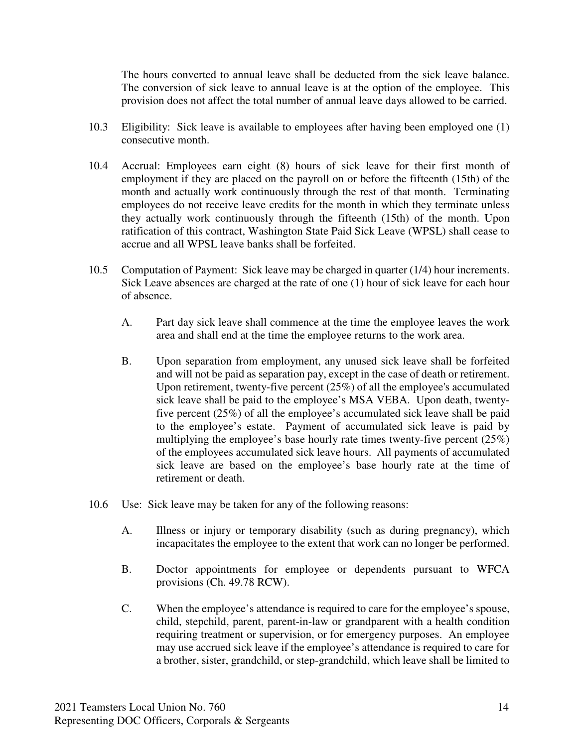The hours converted to annual leave shall be deducted from the sick leave balance. The conversion of sick leave to annual leave is at the option of the employee. This provision does not affect the total number of annual leave days allowed to be carried.

- 10.3 Eligibility: Sick leave is available to employees after having been employed one (1) consecutive month.
- 10.4 Accrual: Employees earn eight (8) hours of sick leave for their first month of employment if they are placed on the payroll on or before the fifteenth (15th) of the month and actually work continuously through the rest of that month. Terminating employees do not receive leave credits for the month in which they terminate unless they actually work continuously through the fifteenth (15th) of the month. Upon ratification of this contract, Washington State Paid Sick Leave (WPSL) shall cease to accrue and all WPSL leave banks shall be forfeited.
- 10.5 Computation of Payment: Sick leave may be charged in quarter (1/4) hour increments. Sick Leave absences are charged at the rate of one (1) hour of sick leave for each hour of absence.
	- A. Part day sick leave shall commence at the time the employee leaves the work area and shall end at the time the employee returns to the work area.
	- B. Upon separation from employment, any unused sick leave shall be forfeited and will not be paid as separation pay, except in the case of death or retirement. Upon retirement, twenty-five percent (25%) of all the employee's accumulated sick leave shall be paid to the employee's MSA VEBA. Upon death, twentyfive percent (25%) of all the employee's accumulated sick leave shall be paid to the employee's estate. Payment of accumulated sick leave is paid by multiplying the employee's base hourly rate times twenty-five percent (25%) of the employees accumulated sick leave hours. All payments of accumulated sick leave are based on the employee's base hourly rate at the time of retirement or death.
- 10.6 Use: Sick leave may be taken for any of the following reasons:
	- A. Illness or injury or temporary disability (such as during pregnancy), which incapacitates the employee to the extent that work can no longer be performed.
	- B. Doctor appointments for employee or dependents pursuant to WFCA provisions (Ch. 49.78 RCW).
	- C. When the employee's attendance is required to care for the employee's spouse, child, stepchild, parent, parent-in-law or grandparent with a health condition requiring treatment or supervision, or for emergency purposes. An employee may use accrued sick leave if the employee's attendance is required to care for a brother, sister, grandchild, or step-grandchild, which leave shall be limited to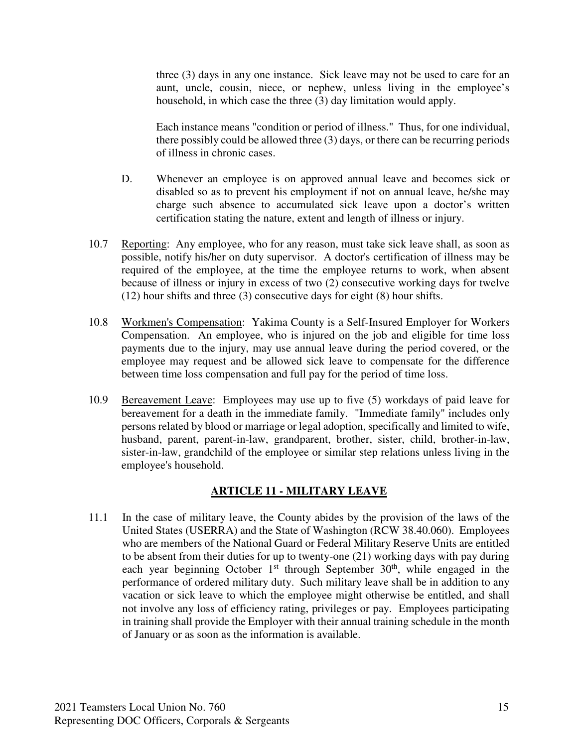three (3) days in any one instance. Sick leave may not be used to care for an aunt, uncle, cousin, niece, or nephew, unless living in the employee's household, in which case the three (3) day limitation would apply.

Each instance means "condition or period of illness." Thus, for one individual, there possibly could be allowed three (3) days, or there can be recurring periods of illness in chronic cases.

- D. Whenever an employee is on approved annual leave and becomes sick or disabled so as to prevent his employment if not on annual leave, he/she may charge such absence to accumulated sick leave upon a doctor's written certification stating the nature, extent and length of illness or injury.
- 10.7 Reporting: Any employee, who for any reason, must take sick leave shall, as soon as possible, notify his/her on duty supervisor. A doctor's certification of illness may be required of the employee, at the time the employee returns to work, when absent because of illness or injury in excess of two (2) consecutive working days for twelve (12) hour shifts and three (3) consecutive days for eight (8) hour shifts.
- 10.8 Workmen's Compensation: Yakima County is a Self-Insured Employer for Workers Compensation. An employee, who is injured on the job and eligible for time loss payments due to the injury, may use annual leave during the period covered, or the employee may request and be allowed sick leave to compensate for the difference between time loss compensation and full pay for the period of time loss.
- 10.9 Bereavement Leave: Employees may use up to five (5) workdays of paid leave for bereavement for a death in the immediate family. "Immediate family" includes only persons related by blood or marriage or legal adoption, specifically and limited to wife, husband, parent, parent-in-law, grandparent, brother, sister, child, brother-in-law, sister-in-law, grandchild of the employee or similar step relations unless living in the employee's household.

#### **ARTICLE 11 - MILITARY LEAVE**

11.1 In the case of military leave, the County abides by the provision of the laws of the United States (USERRA) and the State of Washington (RCW 38.40.060). Employees who are members of the National Guard or Federal Military Reserve Units are entitled to be absent from their duties for up to twenty-one (21) working days with pay during each year beginning October  $1<sup>st</sup>$  through September  $30<sup>th</sup>$ , while engaged in the performance of ordered military duty. Such military leave shall be in addition to any vacation or sick leave to which the employee might otherwise be entitled, and shall not involve any loss of efficiency rating, privileges or pay. Employees participating in training shall provide the Employer with their annual training schedule in the month of January or as soon as the information is available.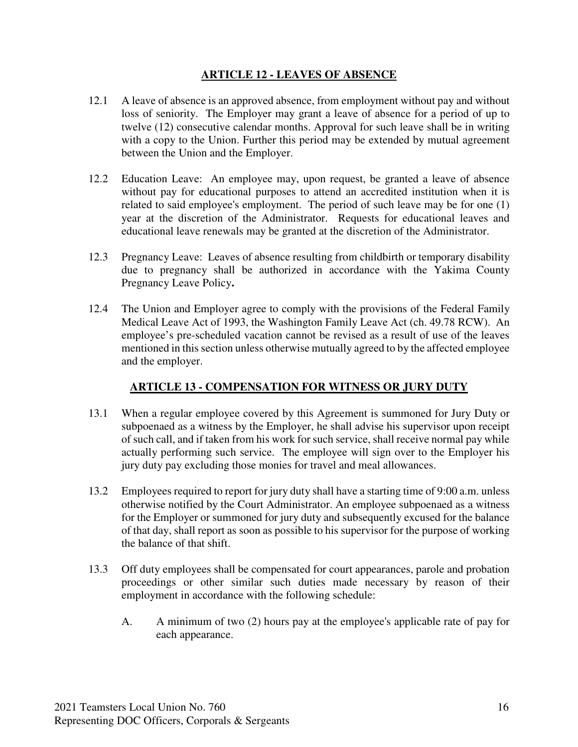#### **ARTICLE 12 - LEAVES OF ABSENCE**

- 12.1 A leave of absence is an approved absence, from employment without pay and without loss of seniority. The Employer may grant a leave of absence for a period of up to twelve (12) consecutive calendar months. Approval for such leave shall be in writing with a copy to the Union. Further this period may be extended by mutual agreement between the Union and the Employer.
- 12.2 Education Leave: An employee may, upon request, be granted a leave of absence without pay for educational purposes to attend an accredited institution when it is related to said employee's employment. The period of such leave may be for one (1) year at the discretion of the Administrator. Requests for educational leaves and educational leave renewals may be granted at the discretion of the Administrator.
- 12.3 Pregnancy Leave: Leaves of absence resulting from childbirth or temporary disability due to pregnancy shall be authorized in accordance with the Yakima County Pregnancy Leave Policy**.**
- 12.4 The Union and Employer agree to comply with the provisions of the Federal Family Medical Leave Act of 1993, the Washington Family Leave Act (ch. 49.78 RCW). An employee's pre-scheduled vacation cannot be revised as a result of use of the leaves mentioned in this section unless otherwise mutually agreed to by the affected employee and the employer.

#### **ARTICLE 13 - COMPENSATION FOR WITNESS OR JURY DUTY**

- 13.1 When a regular employee covered by this Agreement is summoned for Jury Duty or subpoenaed as a witness by the Employer, he shall advise his supervisor upon receipt of such call, and if taken from his work for such service, shall receive normal pay while actually performing such service. The employee will sign over to the Employer his jury duty pay excluding those monies for travel and meal allowances.
- 13.2 Employees required to report for jury duty shall have a starting time of 9:00 a.m. unless otherwise notified by the Court Administrator. An employee subpoenaed as a witness for the Employer or summoned for jury duty and subsequently excused for the balance of that day, shall report as soon as possible to his supervisor for the purpose of working the balance of that shift.
- 13.3 Off duty employees shall be compensated for court appearances, parole and probation proceedings or other similar such duties made necessary by reason of their employment in accordance with the following schedule:
	- A. A minimum of two (2) hours pay at the employee's applicable rate of pay for each appearance.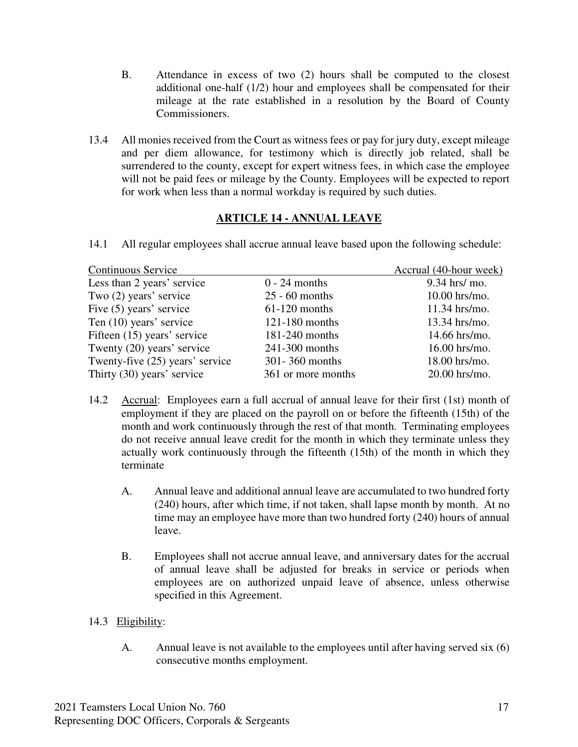- B. Attendance in excess of two (2) hours shall be computed to the closest additional one-half (1/2) hour and employees shall be compensated for their mileage at the rate established in a resolution by the Board of County Commissioners.
- 13.4 All monies received from the Court as witness fees or pay for jury duty, except mileage and per diem allowance, for testimony which is directly job related, shall be surrendered to the county, except for expert witness fees, in which case the employee will not be paid fees or mileage by the County. Employees will be expected to report for work when less than a normal workday is required by such duties.

### **ARTICLE 14 - ANNUAL LEAVE**

14.1 All regular employees shall accrue annual leave based upon the following schedule:

| Continuous Service              |                    | Accrual (40-hour week) |
|---------------------------------|--------------------|------------------------|
| Less than 2 years' service      | $0 - 24$ months    | 9.34 hrs/ mo.          |
| Two (2) years' service          | $25 - 60$ months   | $10.00$ hrs/mo.        |
| Five (5) years' service         | $61-120$ months    | $11.34$ hrs/mo.        |
| Ten (10) years' service         | $121 - 180$ months | $13.34$ hrs/mo.        |
| Fifteen (15) years' service     | 181-240 months     | $14.66$ hrs/mo.        |
| Twenty (20) years' service      | 241-300 months     | 16.00 hrs/mo.          |
| Twenty-five (25) years' service | 301-360 months     | 18.00 hrs/mo.          |
| Thirty (30) years' service      | 361 or more months | 20.00 hrs/mo.          |

- 14.2 Accrual: Employees earn a full accrual of annual leave for their first (1st) month of employment if they are placed on the payroll on or before the fifteenth (15th) of the month and work continuously through the rest of that month. Terminating employees do not receive annual leave credit for the month in which they terminate unless they actually work continuously through the fifteenth (15th) of the month in which they terminate
	- A. Annual leave and additional annual leave are accumulated to two hundred forty (240) hours, after which time, if not taken, shall lapse month by month. At no time may an employee have more than two hundred forty (240) hours of annual leave.
	- B. Employees shall not accrue annual leave, and anniversary dates for the accrual of annual leave shall be adjusted for breaks in service or periods when employees are on authorized unpaid leave of absence, unless otherwise specified in this Agreement.
- 14.3 Eligibility:
	- A. Annual leave is not available to the employees until after having served six (6) consecutive months employment.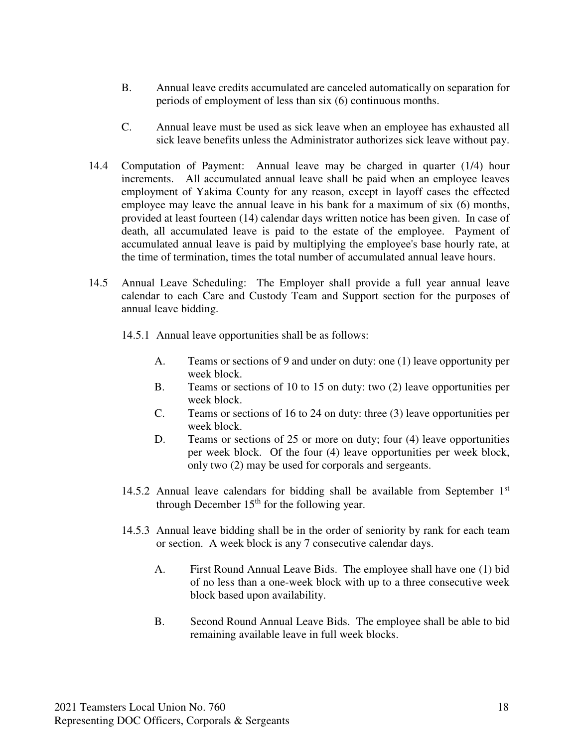- B. Annual leave credits accumulated are canceled automatically on separation for periods of employment of less than six (6) continuous months.
- C. Annual leave must be used as sick leave when an employee has exhausted all sick leave benefits unless the Administrator authorizes sick leave without pay.
- 14.4 Computation of Payment: Annual leave may be charged in quarter (1/4) hour increments. All accumulated annual leave shall be paid when an employee leaves employment of Yakima County for any reason, except in layoff cases the effected employee may leave the annual leave in his bank for a maximum of six (6) months, provided at least fourteen (14) calendar days written notice has been given. In case of death, all accumulated leave is paid to the estate of the employee. Payment of accumulated annual leave is paid by multiplying the employee's base hourly rate, at the time of termination, times the total number of accumulated annual leave hours.
- 14.5 Annual Leave Scheduling: The Employer shall provide a full year annual leave calendar to each Care and Custody Team and Support section for the purposes of annual leave bidding.
	- 14.5.1 Annual leave opportunities shall be as follows:
		- A. Teams or sections of 9 and under on duty: one (1) leave opportunity per week block.
		- B. Teams or sections of 10 to 15 on duty: two (2) leave opportunities per week block.
		- C. Teams or sections of 16 to 24 on duty: three (3) leave opportunities per week block.
		- D. Teams or sections of 25 or more on duty; four (4) leave opportunities per week block. Of the four (4) leave opportunities per week block, only two (2) may be used for corporals and sergeants.
	- 14.5.2 Annual leave calendars for bidding shall be available from September  $1<sup>st</sup>$ through December  $15<sup>th</sup>$  for the following year.
	- 14.5.3 Annual leave bidding shall be in the order of seniority by rank for each team or section. A week block is any 7 consecutive calendar days.
		- A. First Round Annual Leave Bids. The employee shall have one (1) bid of no less than a one-week block with up to a three consecutive week block based upon availability.
		- B. Second Round Annual Leave Bids. The employee shall be able to bid remaining available leave in full week blocks.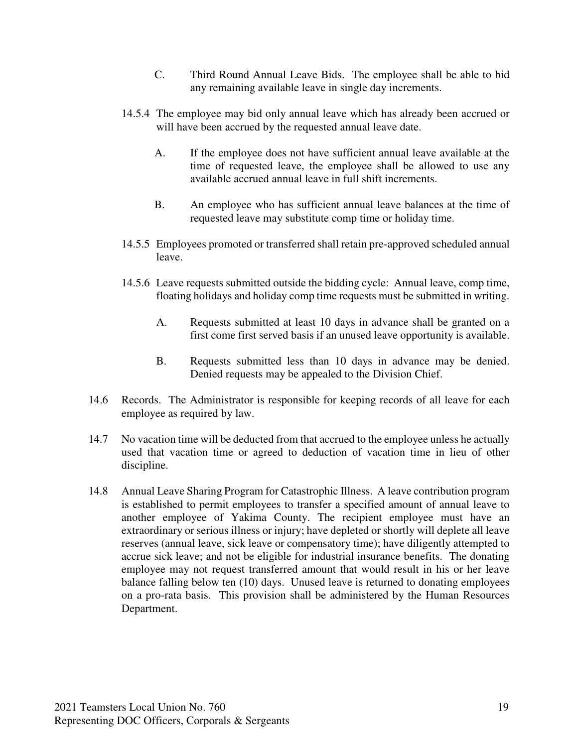- C. Third Round Annual Leave Bids. The employee shall be able to bid any remaining available leave in single day increments.
- 14.5.4 The employee may bid only annual leave which has already been accrued or will have been accrued by the requested annual leave date.
	- A. If the employee does not have sufficient annual leave available at the time of requested leave, the employee shall be allowed to use any available accrued annual leave in full shift increments.
	- B. An employee who has sufficient annual leave balances at the time of requested leave may substitute comp time or holiday time.
- 14.5.5 Employees promoted or transferred shall retain pre-approved scheduled annual leave.
- 14.5.6 Leave requests submitted outside the bidding cycle: Annual leave, comp time, floating holidays and holiday comp time requests must be submitted in writing.
	- A. Requests submitted at least 10 days in advance shall be granted on a first come first served basis if an unused leave opportunity is available.
	- B. Requests submitted less than 10 days in advance may be denied. Denied requests may be appealed to the Division Chief.
- 14.6 Records. The Administrator is responsible for keeping records of all leave for each employee as required by law.
- 14.7 No vacation time will be deducted from that accrued to the employee unless he actually used that vacation time or agreed to deduction of vacation time in lieu of other discipline.
- 14.8 Annual Leave Sharing Program for Catastrophic Illness. A leave contribution program is established to permit employees to transfer a specified amount of annual leave to another employee of Yakima County. The recipient employee must have an extraordinary or serious illness or injury; have depleted or shortly will deplete all leave reserves (annual leave, sick leave or compensatory time); have diligently attempted to accrue sick leave; and not be eligible for industrial insurance benefits. The donating employee may not request transferred amount that would result in his or her leave balance falling below ten (10) days. Unused leave is returned to donating employees on a pro-rata basis. This provision shall be administered by the Human Resources Department.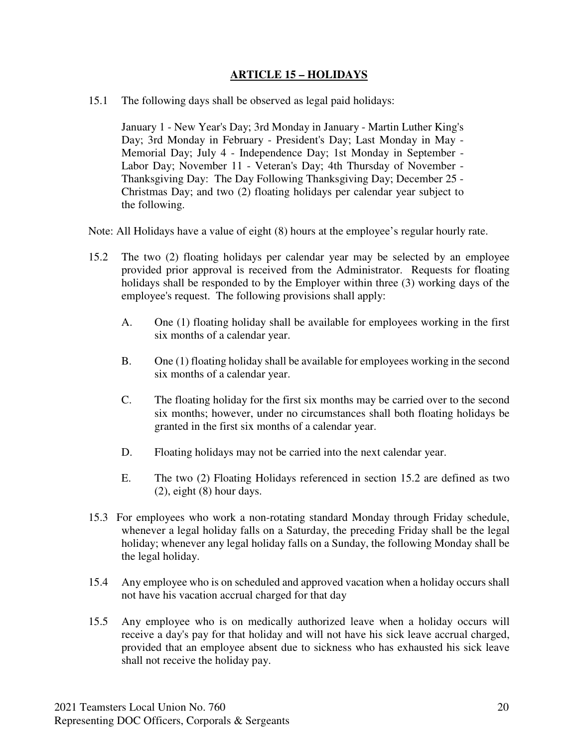#### **ARTICLE 15 – HOLIDAYS**

15.1 The following days shall be observed as legal paid holidays:

January 1 - New Year's Day; 3rd Monday in January - Martin Luther King's Day; 3rd Monday in February - President's Day; Last Monday in May - Memorial Day; July 4 - Independence Day; 1st Monday in September - Labor Day; November 11 - Veteran's Day; 4th Thursday of November - Thanksgiving Day: The Day Following Thanksgiving Day; December 25 - Christmas Day; and two (2) floating holidays per calendar year subject to the following.

Note: All Holidays have a value of eight (8) hours at the employee's regular hourly rate.

- 15.2 The two (2) floating holidays per calendar year may be selected by an employee provided prior approval is received from the Administrator. Requests for floating holidays shall be responded to by the Employer within three (3) working days of the employee's request. The following provisions shall apply:
	- A. One (1) floating holiday shall be available for employees working in the first six months of a calendar year.
	- B. One (1) floating holiday shall be available for employees working in the second six months of a calendar year.
	- C. The floating holiday for the first six months may be carried over to the second six months; however, under no circumstances shall both floating holidays be granted in the first six months of a calendar year.
	- D. Floating holidays may not be carried into the next calendar year.
	- E. The two (2) Floating Holidays referenced in section 15.2 are defined as two (2), eight (8) hour days.
- 15.3 For employees who work a non-rotating standard Monday through Friday schedule, whenever a legal holiday falls on a Saturday, the preceding Friday shall be the legal holiday; whenever any legal holiday falls on a Sunday, the following Monday shall be the legal holiday.
- 15.4 Any employee who is on scheduled and approved vacation when a holiday occurs shall not have his vacation accrual charged for that day
- 15.5 Any employee who is on medically authorized leave when a holiday occurs will receive a day's pay for that holiday and will not have his sick leave accrual charged, provided that an employee absent due to sickness who has exhausted his sick leave shall not receive the holiday pay.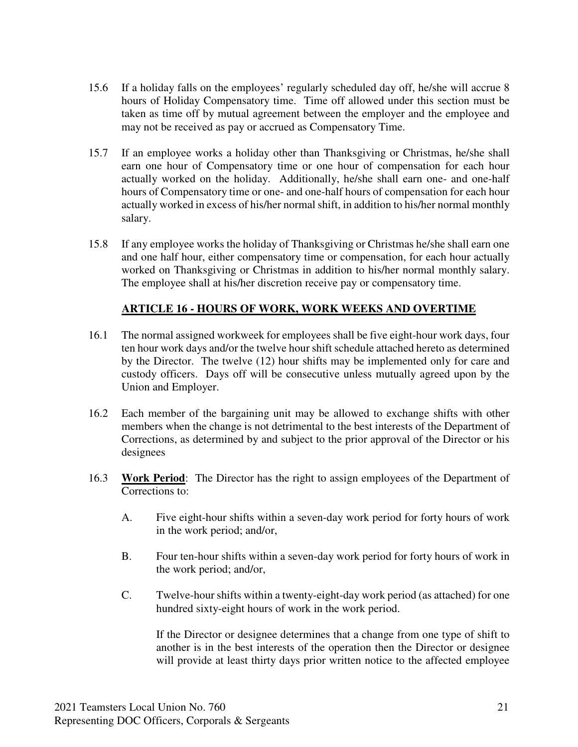- 15.6 If a holiday falls on the employees' regularly scheduled day off, he/she will accrue 8 hours of Holiday Compensatory time. Time off allowed under this section must be taken as time off by mutual agreement between the employer and the employee and may not be received as pay or accrued as Compensatory Time.
- 15.7 If an employee works a holiday other than Thanksgiving or Christmas, he/she shall earn one hour of Compensatory time or one hour of compensation for each hour actually worked on the holiday. Additionally, he/she shall earn one- and one-half hours of Compensatory time or one- and one-half hours of compensation for each hour actually worked in excess of his/her normal shift, in addition to his/her normal monthly salary.
- 15.8 If any employee works the holiday of Thanksgiving or Christmas he/she shall earn one and one half hour, either compensatory time or compensation, for each hour actually worked on Thanksgiving or Christmas in addition to his/her normal monthly salary. The employee shall at his/her discretion receive pay or compensatory time.

### **ARTICLE 16 - HOURS OF WORK, WORK WEEKS AND OVERTIME**

- 16.1 The normal assigned workweek for employees shall be five eight-hour work days, four ten hour work days and/or the twelve hour shift schedule attached hereto as determined by the Director. The twelve (12) hour shifts may be implemented only for care and custody officers. Days off will be consecutive unless mutually agreed upon by the Union and Employer.
- 16.2 Each member of the bargaining unit may be allowed to exchange shifts with other members when the change is not detrimental to the best interests of the Department of Corrections, as determined by and subject to the prior approval of the Director or his designees
- 16.3 **Work Period**: The Director has the right to assign employees of the Department of Corrections to:
	- A. Five eight-hour shifts within a seven-day work period for forty hours of work in the work period; and/or,
	- B. Four ten-hour shifts within a seven-day work period for forty hours of work in the work period; and/or,
	- C. Twelve-hour shifts within a twenty-eight-day work period (as attached) for one hundred sixty-eight hours of work in the work period.

If the Director or designee determines that a change from one type of shift to another is in the best interests of the operation then the Director or designee will provide at least thirty days prior written notice to the affected employee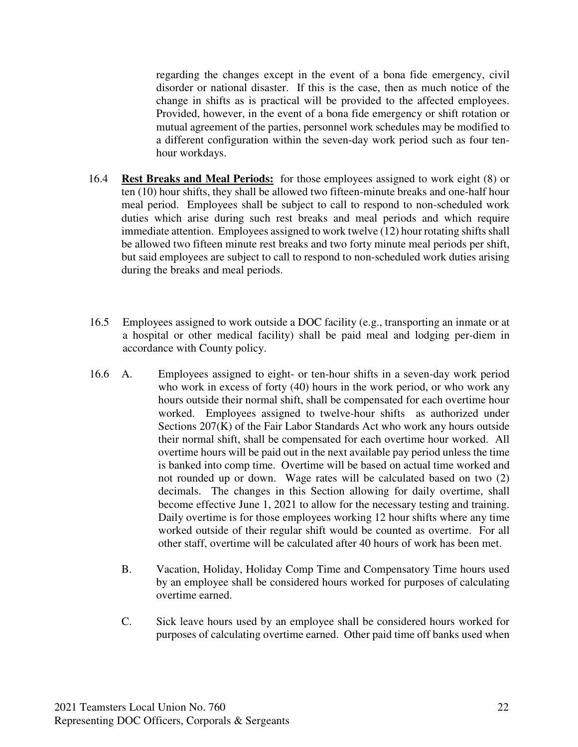regarding the changes except in the event of a bona fide emergency, civil disorder or national disaster. If this is the case, then as much notice of the change in shifts as is practical will be provided to the affected employees. Provided, however, in the event of a bona fide emergency or shift rotation or mutual agreement of the parties, personnel work schedules may be modified to a different configuration within the seven-day work period such as four tenhour workdays.

- 16.4 **Rest Breaks and Meal Periods:** for those employees assigned to work eight (8) or ten (10) hour shifts, they shall be allowed two fifteen-minute breaks and one-half hour meal period. Employees shall be subject to call to respond to non-scheduled work duties which arise during such rest breaks and meal periods and which require immediate attention. Employees assigned to work twelve (12) hour rotating shifts shall be allowed two fifteen minute rest breaks and two forty minute meal periods per shift, but said employees are subject to call to respond to non-scheduled work duties arising during the breaks and meal periods.
- 16.5 Employees assigned to work outside a DOC facility (e.g., transporting an inmate or at a hospital or other medical facility) shall be paid meal and lodging per-diem in accordance with County policy.
- 16.6 A. Employees assigned to eight- or ten-hour shifts in a seven-day work period who work in excess of forty (40) hours in the work period, or who work any hours outside their normal shift, shall be compensated for each overtime hour worked. Employees assigned to twelve-hour shifts as authorized under Sections 207(K) of the Fair Labor Standards Act who work any hours outside their normal shift, shall be compensated for each overtime hour worked. All overtime hours will be paid out in the next available pay period unless the time is banked into comp time. Overtime will be based on actual time worked and not rounded up or down. Wage rates will be calculated based on two (2) decimals. The changes in this Section allowing for daily overtime, shall become effective June 1, 2021 to allow for the necessary testing and training. Daily overtime is for those employees working 12 hour shifts where any time worked outside of their regular shift would be counted as overtime. For all other staff, overtime will be calculated after 40 hours of work has been met.
	- B. Vacation, Holiday, Holiday Comp Time and Compensatory Time hours used by an employee shall be considered hours worked for purposes of calculating overtime earned.
	- C. Sick leave hours used by an employee shall be considered hours worked for purposes of calculating overtime earned. Other paid time off banks used when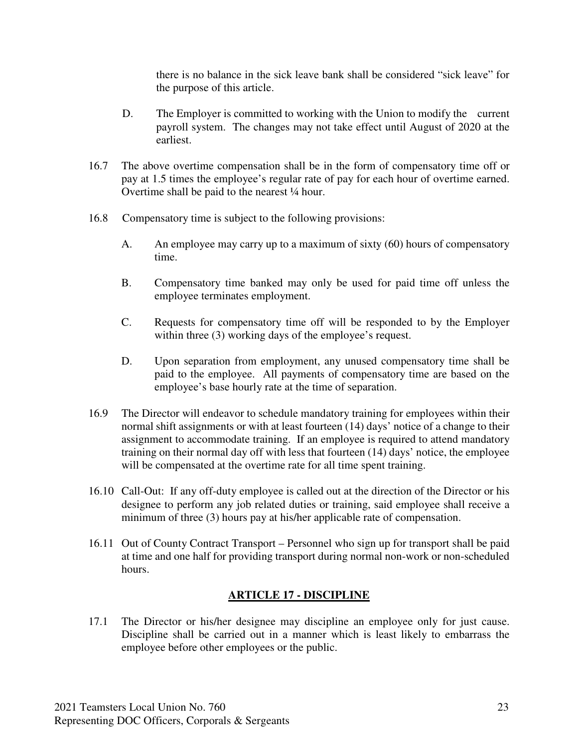there is no balance in the sick leave bank shall be considered "sick leave" for the purpose of this article.

- D. The Employer is committed to working with the Union to modify the current payroll system. The changes may not take effect until August of 2020 at the earliest.
- 16.7 The above overtime compensation shall be in the form of compensatory time off or pay at 1.5 times the employee's regular rate of pay for each hour of overtime earned. Overtime shall be paid to the nearest ¼ hour.
- 16.8 Compensatory time is subject to the following provisions:
	- A. An employee may carry up to a maximum of sixty (60) hours of compensatory time.
	- B. Compensatory time banked may only be used for paid time off unless the employee terminates employment.
	- C. Requests for compensatory time off will be responded to by the Employer within three (3) working days of the employee's request.
	- D. Upon separation from employment, any unused compensatory time shall be paid to the employee. All payments of compensatory time are based on the employee's base hourly rate at the time of separation.
- 16.9 The Director will endeavor to schedule mandatory training for employees within their normal shift assignments or with at least fourteen (14) days' notice of a change to their assignment to accommodate training. If an employee is required to attend mandatory training on their normal day off with less that fourteen (14) days' notice, the employee will be compensated at the overtime rate for all time spent training.
- 16.10 Call-Out: If any off-duty employee is called out at the direction of the Director or his designee to perform any job related duties or training, said employee shall receive a minimum of three (3) hours pay at his/her applicable rate of compensation.
- 16.11 Out of County Contract Transport Personnel who sign up for transport shall be paid at time and one half for providing transport during normal non-work or non-scheduled hours.

#### **ARTICLE 17 - DISCIPLINE**

17.1 The Director or his/her designee may discipline an employee only for just cause. Discipline shall be carried out in a manner which is least likely to embarrass the employee before other employees or the public.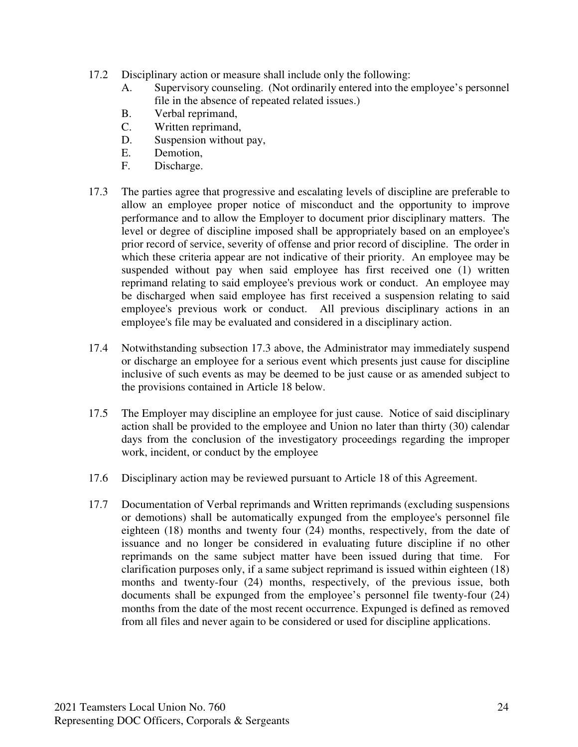- 17.2 Disciplinary action or measure shall include only the following:
	- A. Supervisory counseling. (Not ordinarily entered into the employee's personnel file in the absence of repeated related issues.)
	- B. Verbal reprimand,
	- C. Written reprimand,
	- D. Suspension without pay,
	- E. Demotion,
	- F. Discharge.
- 17.3 The parties agree that progressive and escalating levels of discipline are preferable to allow an employee proper notice of misconduct and the opportunity to improve performance and to allow the Employer to document prior disciplinary matters. The level or degree of discipline imposed shall be appropriately based on an employee's prior record of service, severity of offense and prior record of discipline. The order in which these criteria appear are not indicative of their priority. An employee may be suspended without pay when said employee has first received one (1) written reprimand relating to said employee's previous work or conduct. An employee may be discharged when said employee has first received a suspension relating to said employee's previous work or conduct. All previous disciplinary actions in an employee's file may be evaluated and considered in a disciplinary action.
- 17.4 Notwithstanding subsection 17.3 above, the Administrator may immediately suspend or discharge an employee for a serious event which presents just cause for discipline inclusive of such events as may be deemed to be just cause or as amended subject to the provisions contained in Article 18 below.
- 17.5 The Employer may discipline an employee for just cause. Notice of said disciplinary action shall be provided to the employee and Union no later than thirty (30) calendar days from the conclusion of the investigatory proceedings regarding the improper work, incident, or conduct by the employee
- 17.6 Disciplinary action may be reviewed pursuant to Article 18 of this Agreement.
- 17.7 Documentation of Verbal reprimands and Written reprimands (excluding suspensions or demotions) shall be automatically expunged from the employee's personnel file eighteen (18) months and twenty four (24) months, respectively, from the date of issuance and no longer be considered in evaluating future discipline if no other reprimands on the same subject matter have been issued during that time. For clarification purposes only, if a same subject reprimand is issued within eighteen (18) months and twenty-four (24) months, respectively, of the previous issue, both documents shall be expunged from the employee's personnel file twenty-four (24) months from the date of the most recent occurrence. Expunged is defined as removed from all files and never again to be considered or used for discipline applications.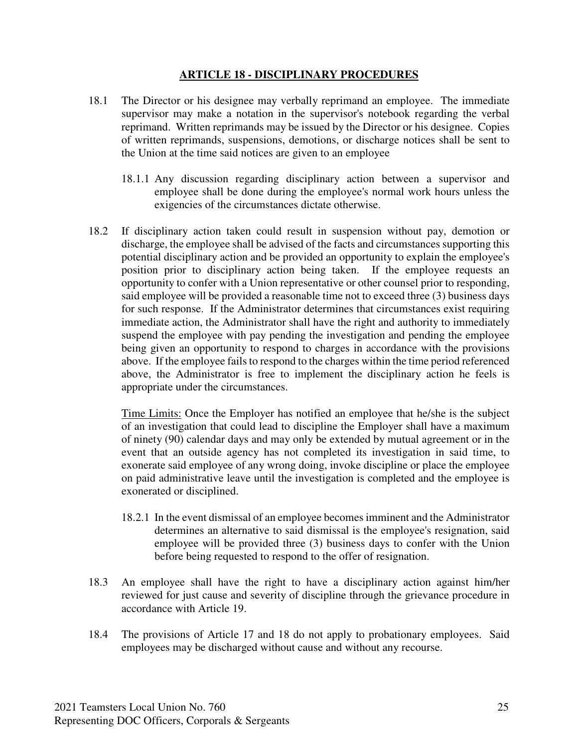#### **ARTICLE 18 - DISCIPLINARY PROCEDURES**

- 18.1 The Director or his designee may verbally reprimand an employee. The immediate supervisor may make a notation in the supervisor's notebook regarding the verbal reprimand. Written reprimands may be issued by the Director or his designee. Copies of written reprimands, suspensions, demotions, or discharge notices shall be sent to the Union at the time said notices are given to an employee
	- 18.1.1 Any discussion regarding disciplinary action between a supervisor and employee shall be done during the employee's normal work hours unless the exigencies of the circumstances dictate otherwise.
- 18.2 If disciplinary action taken could result in suspension without pay, demotion or discharge, the employee shall be advised of the facts and circumstances supporting this potential disciplinary action and be provided an opportunity to explain the employee's position prior to disciplinary action being taken. If the employee requests an opportunity to confer with a Union representative or other counsel prior to responding, said employee will be provided a reasonable time not to exceed three (3) business days for such response. If the Administrator determines that circumstances exist requiring immediate action, the Administrator shall have the right and authority to immediately suspend the employee with pay pending the investigation and pending the employee being given an opportunity to respond to charges in accordance with the provisions above. If the employee fails to respond to the charges within the time period referenced above, the Administrator is free to implement the disciplinary action he feels is appropriate under the circumstances.

Time Limits: Once the Employer has notified an employee that he/she is the subject of an investigation that could lead to discipline the Employer shall have a maximum of ninety (90) calendar days and may only be extended by mutual agreement or in the event that an outside agency has not completed its investigation in said time, to exonerate said employee of any wrong doing, invoke discipline or place the employee on paid administrative leave until the investigation is completed and the employee is exonerated or disciplined.

- 18.2.1 In the event dismissal of an employee becomes imminent and the Administrator determines an alternative to said dismissal is the employee's resignation, said employee will be provided three (3) business days to confer with the Union before being requested to respond to the offer of resignation.
- 18.3 An employee shall have the right to have a disciplinary action against him/her reviewed for just cause and severity of discipline through the grievance procedure in accordance with Article 19.
- 18.4 The provisions of Article 17 and 18 do not apply to probationary employees. Said employees may be discharged without cause and without any recourse.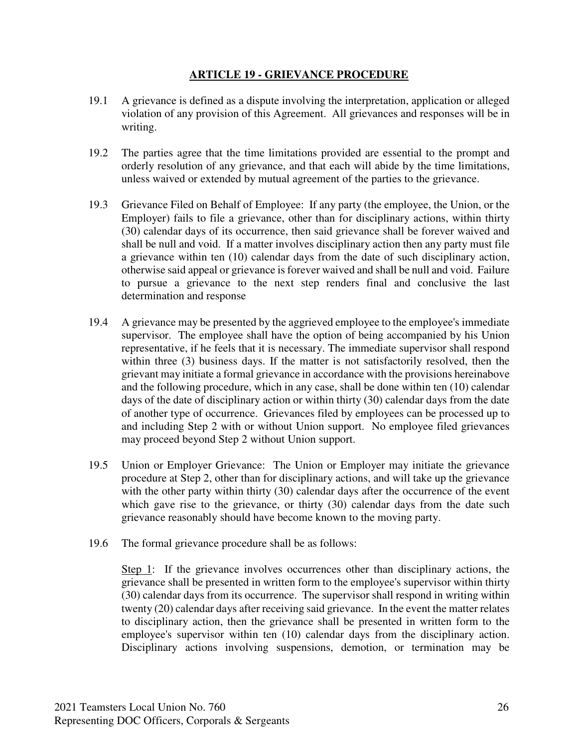#### **ARTICLE 19 - GRIEVANCE PROCEDURE**

- 19.1 A grievance is defined as a dispute involving the interpretation, application or alleged violation of any provision of this Agreement. All grievances and responses will be in writing.
- 19.2 The parties agree that the time limitations provided are essential to the prompt and orderly resolution of any grievance, and that each will abide by the time limitations, unless waived or extended by mutual agreement of the parties to the grievance.
- 19.3 Grievance Filed on Behalf of Employee: If any party (the employee, the Union, or the Employer) fails to file a grievance, other than for disciplinary actions, within thirty (30) calendar days of its occurrence, then said grievance shall be forever waived and shall be null and void. If a matter involves disciplinary action then any party must file a grievance within ten (10) calendar days from the date of such disciplinary action, otherwise said appeal or grievance is forever waived and shall be null and void. Failure to pursue a grievance to the next step renders final and conclusive the last determination and response
- 19.4 A grievance may be presented by the aggrieved employee to the employee's immediate supervisor. The employee shall have the option of being accompanied by his Union representative, if he feels that it is necessary. The immediate supervisor shall respond within three (3) business days. If the matter is not satisfactorily resolved, then the grievant may initiate a formal grievance in accordance with the provisions hereinabove and the following procedure, which in any case, shall be done within ten (10) calendar days of the date of disciplinary action or within thirty (30) calendar days from the date of another type of occurrence. Grievances filed by employees can be processed up to and including Step 2 with or without Union support. No employee filed grievances may proceed beyond Step 2 without Union support.
- 19.5 Union or Employer Grievance: The Union or Employer may initiate the grievance procedure at Step 2, other than for disciplinary actions, and will take up the grievance with the other party within thirty (30) calendar days after the occurrence of the event which gave rise to the grievance, or thirty (30) calendar days from the date such grievance reasonably should have become known to the moving party.
- 19.6 The formal grievance procedure shall be as follows:

Step 1: If the grievance involves occurrences other than disciplinary actions, the grievance shall be presented in written form to the employee's supervisor within thirty (30) calendar days from its occurrence. The supervisor shall respond in writing within twenty (20) calendar days after receiving said grievance. In the event the matter relates to disciplinary action, then the grievance shall be presented in written form to the employee's supervisor within ten (10) calendar days from the disciplinary action. Disciplinary actions involving suspensions, demotion, or termination may be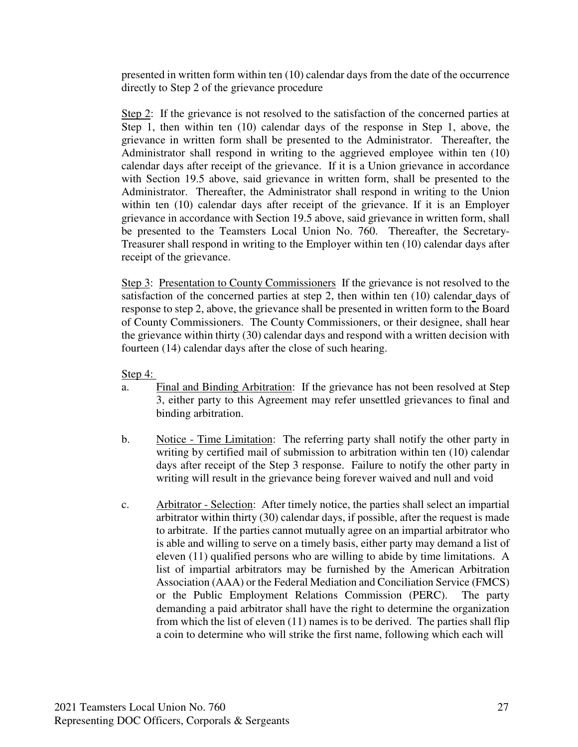presented in written form within ten (10) calendar days from the date of the occurrence directly to Step 2 of the grievance procedure

Step 2: If the grievance is not resolved to the satisfaction of the concerned parties at Step 1, then within ten (10) calendar days of the response in Step 1, above, the grievance in written form shall be presented to the Administrator. Thereafter, the Administrator shall respond in writing to the aggrieved employee within ten (10) calendar days after receipt of the grievance. If it is a Union grievance in accordance with Section 19.5 above, said grievance in written form, shall be presented to the Administrator. Thereafter, the Administrator shall respond in writing to the Union within ten (10) calendar days after receipt of the grievance. If it is an Employer grievance in accordance with Section 19.5 above, said grievance in written form, shall be presented to the Teamsters Local Union No. 760. Thereafter, the Secretary-Treasurer shall respond in writing to the Employer within ten (10) calendar days after receipt of the grievance.

Step 3: Presentation to County Commissioners If the grievance is not resolved to the satisfaction of the concerned parties at step 2, then within ten (10) calendar days of response to step 2, above, the grievance shall be presented in written form to the Board of County Commissioners. The County Commissioners, or their designee, shall hear the grievance within thirty (30) calendar days and respond with a written decision with fourteen (14) calendar days after the close of such hearing.

Step 4:

- a. Final and Binding Arbitration: If the grievance has not been resolved at Step 3, either party to this Agreement may refer unsettled grievances to final and binding arbitration.
- b. Notice Time Limitation: The referring party shall notify the other party in writing by certified mail of submission to arbitration within ten (10) calendar days after receipt of the Step 3 response. Failure to notify the other party in writing will result in the grievance being forever waived and null and void
- c. Arbitrator Selection: After timely notice, the parties shall select an impartial arbitrator within thirty (30) calendar days, if possible, after the request is made to arbitrate. If the parties cannot mutually agree on an impartial arbitrator who is able and willing to serve on a timely basis, either party may demand a list of eleven (11) qualified persons who are willing to abide by time limitations. A list of impartial arbitrators may be furnished by the American Arbitration Association (AAA) or the Federal Mediation and Conciliation Service (FMCS) or the Public Employment Relations Commission (PERC). The party demanding a paid arbitrator shall have the right to determine the organization from which the list of eleven (11) names is to be derived. The parties shall flip a coin to determine who will strike the first name, following which each will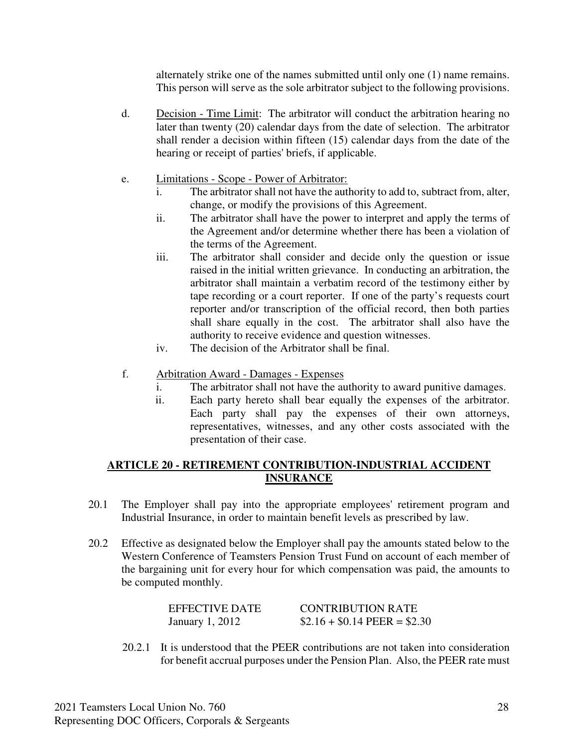alternately strike one of the names submitted until only one (1) name remains. This person will serve as the sole arbitrator subject to the following provisions.

- d. Decision Time Limit: The arbitrator will conduct the arbitration hearing no later than twenty (20) calendar days from the date of selection. The arbitrator shall render a decision within fifteen (15) calendar days from the date of the hearing or receipt of parties' briefs, if applicable.
- e. Limitations Scope Power of Arbitrator:
	- i. The arbitrator shall not have the authority to add to, subtract from, alter, change, or modify the provisions of this Agreement.
	- ii. The arbitrator shall have the power to interpret and apply the terms of the Agreement and/or determine whether there has been a violation of the terms of the Agreement.
	- iii. The arbitrator shall consider and decide only the question or issue raised in the initial written grievance. In conducting an arbitration, the arbitrator shall maintain a verbatim record of the testimony either by tape recording or a court reporter. If one of the party's requests court reporter and/or transcription of the official record, then both parties shall share equally in the cost. The arbitrator shall also have the authority to receive evidence and question witnesses.
	- iv. The decision of the Arbitrator shall be final.
- f. Arbitration Award Damages Expenses
	- i. The arbitrator shall not have the authority to award punitive damages.
	- ii. Each party hereto shall bear equally the expenses of the arbitrator. Each party shall pay the expenses of their own attorneys, representatives, witnesses, and any other costs associated with the presentation of their case.

#### **ARTICLE 20 - RETIREMENT CONTRIBUTION-INDUSTRIAL ACCIDENT INSURANCE**

- 20.1 The Employer shall pay into the appropriate employees' retirement program and Industrial Insurance, in order to maintain benefit levels as prescribed by law.
- 20.2 Effective as designated below the Employer shall pay the amounts stated below to the Western Conference of Teamsters Pension Trust Fund on account of each member of the bargaining unit for every hour for which compensation was paid, the amounts to be computed monthly.

| EFFECTIVE DATE  | <b>CONTRIBUTION RATE</b>      |
|-----------------|-------------------------------|
| January 1, 2012 | $$2.16 + $0.14$ PEER = \$2.30 |

20.2.1 It is understood that the PEER contributions are not taken into consideration for benefit accrual purposes under the Pension Plan. Also, the PEER rate must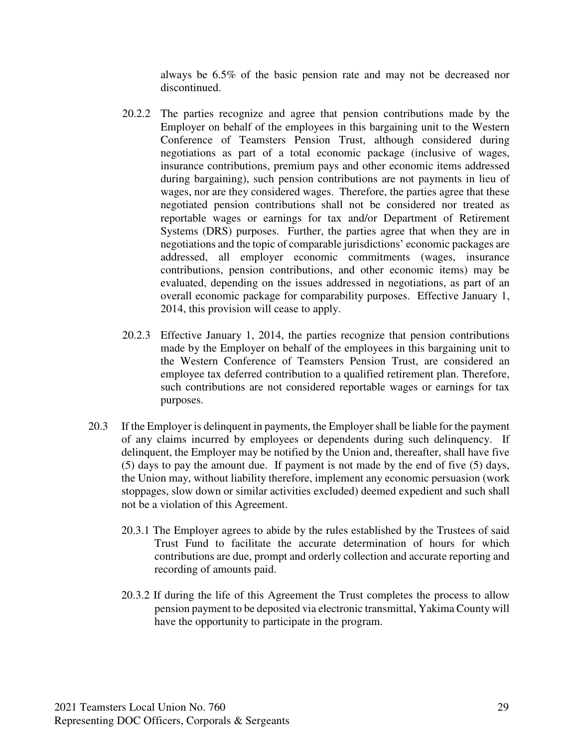always be 6.5% of the basic pension rate and may not be decreased nor discontinued.

- 20.2.2 The parties recognize and agree that pension contributions made by the Employer on behalf of the employees in this bargaining unit to the Western Conference of Teamsters Pension Trust, although considered during negotiations as part of a total economic package (inclusive of wages, insurance contributions, premium pays and other economic items addressed during bargaining), such pension contributions are not payments in lieu of wages, nor are they considered wages. Therefore, the parties agree that these negotiated pension contributions shall not be considered nor treated as reportable wages or earnings for tax and/or Department of Retirement Systems (DRS) purposes. Further, the parties agree that when they are in negotiations and the topic of comparable jurisdictions' economic packages are addressed, all employer economic commitments (wages, insurance contributions, pension contributions, and other economic items) may be evaluated, depending on the issues addressed in negotiations, as part of an overall economic package for comparability purposes. Effective January 1, 2014, this provision will cease to apply.
- 20.2.3 Effective January 1, 2014, the parties recognize that pension contributions made by the Employer on behalf of the employees in this bargaining unit to the Western Conference of Teamsters Pension Trust, are considered an employee tax deferred contribution to a qualified retirement plan. Therefore, such contributions are not considered reportable wages or earnings for tax purposes.
- 20.3 If the Employer is delinquent in payments, the Employer shall be liable for the payment of any claims incurred by employees or dependents during such delinquency. If delinquent, the Employer may be notified by the Union and, thereafter, shall have five (5) days to pay the amount due. If payment is not made by the end of five (5) days, the Union may, without liability therefore, implement any economic persuasion (work stoppages, slow down or similar activities excluded) deemed expedient and such shall not be a violation of this Agreement.
	- 20.3.1 The Employer agrees to abide by the rules established by the Trustees of said Trust Fund to facilitate the accurate determination of hours for which contributions are due, prompt and orderly collection and accurate reporting and recording of amounts paid.
	- 20.3.2 If during the life of this Agreement the Trust completes the process to allow pension payment to be deposited via electronic transmittal, Yakima County will have the opportunity to participate in the program.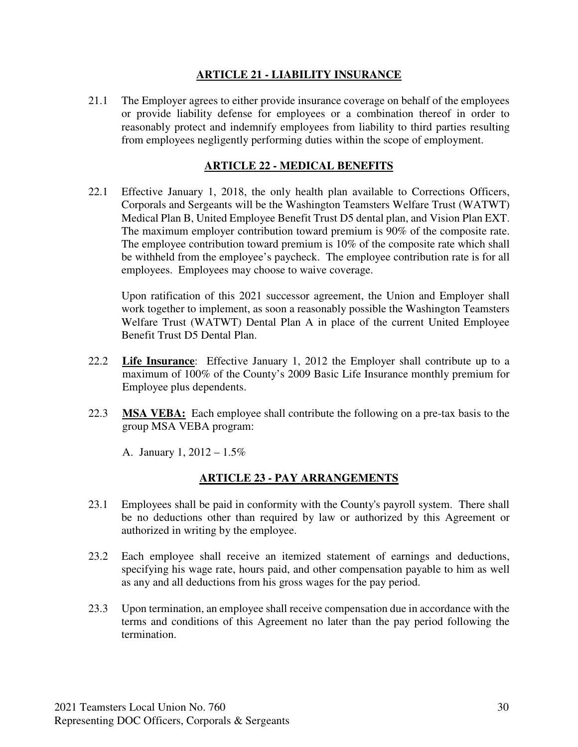#### **ARTICLE 21 - LIABILITY INSURANCE**

21.1 The Employer agrees to either provide insurance coverage on behalf of the employees or provide liability defense for employees or a combination thereof in order to reasonably protect and indemnify employees from liability to third parties resulting from employees negligently performing duties within the scope of employment.

#### **ARTICLE 22 - MEDICAL BENEFITS**

22.1 Effective January 1, 2018, the only health plan available to Corrections Officers, Corporals and Sergeants will be the Washington Teamsters Welfare Trust (WATWT) Medical Plan B, United Employee Benefit Trust D5 dental plan, and Vision Plan EXT. The maximum employer contribution toward premium is 90% of the composite rate. The employee contribution toward premium is 10% of the composite rate which shall be withheld from the employee's paycheck. The employee contribution rate is for all employees. Employees may choose to waive coverage.

 Upon ratification of this 2021 successor agreement, the Union and Employer shall work together to implement, as soon a reasonably possible the Washington Teamsters Welfare Trust (WATWT) Dental Plan A in place of the current United Employee Benefit Trust D5 Dental Plan.

- 22.2 **Life Insurance**: Effective January 1, 2012 the Employer shall contribute up to a maximum of 100% of the County's 2009 Basic Life Insurance monthly premium for Employee plus dependents.
- 22.3 **MSA VEBA:** Each employee shall contribute the following on a pre-tax basis to the group MSA VEBA program:

A. January 1, 2012 – 1.5%

#### **ARTICLE 23 - PAY ARRANGEMENTS**

- 23.1 Employees shall be paid in conformity with the County's payroll system. There shall be no deductions other than required by law or authorized by this Agreement or authorized in writing by the employee.
- 23.2 Each employee shall receive an itemized statement of earnings and deductions, specifying his wage rate, hours paid, and other compensation payable to him as well as any and all deductions from his gross wages for the pay period.
- 23.3 Upon termination, an employee shall receive compensation due in accordance with the terms and conditions of this Agreement no later than the pay period following the termination.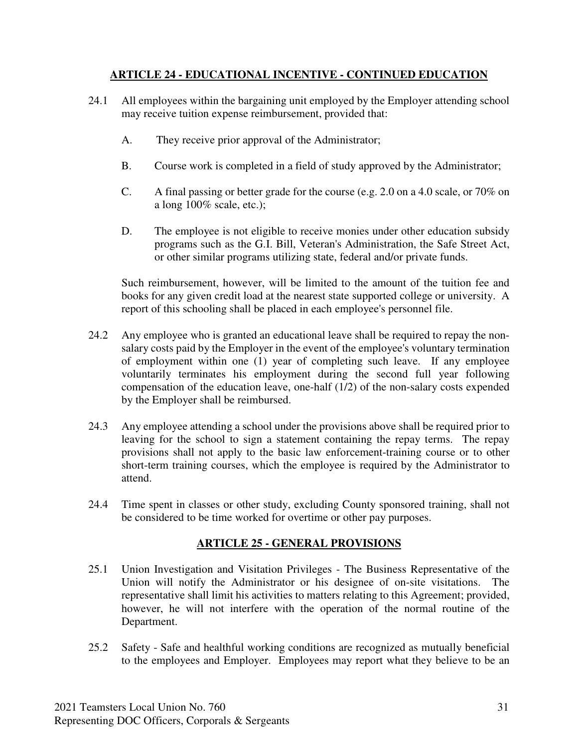#### **ARTICLE 24 - EDUCATIONAL INCENTIVE - CONTINUED EDUCATION**

- 24.1 All employees within the bargaining unit employed by the Employer attending school may receive tuition expense reimbursement, provided that:
	- A. They receive prior approval of the Administrator;
	- B. Course work is completed in a field of study approved by the Administrator;
	- C. A final passing or better grade for the course (e.g. 2.0 on a 4.0 scale, or 70% on a long 100% scale, etc.);
	- D. The employee is not eligible to receive monies under other education subsidy programs such as the G.I. Bill, Veteran's Administration, the Safe Street Act, or other similar programs utilizing state, federal and/or private funds.

Such reimbursement, however, will be limited to the amount of the tuition fee and books for any given credit load at the nearest state supported college or university. A report of this schooling shall be placed in each employee's personnel file.

- 24.2 Any employee who is granted an educational leave shall be required to repay the nonsalary costs paid by the Employer in the event of the employee's voluntary termination of employment within one (1) year of completing such leave. If any employee voluntarily terminates his employment during the second full year following compensation of the education leave, one-half (1/2) of the non-salary costs expended by the Employer shall be reimbursed.
- 24.3 Any employee attending a school under the provisions above shall be required prior to leaving for the school to sign a statement containing the repay terms. The repay provisions shall not apply to the basic law enforcement-training course or to other short-term training courses, which the employee is required by the Administrator to attend.
- 24.4 Time spent in classes or other study, excluding County sponsored training, shall not be considered to be time worked for overtime or other pay purposes.

#### **ARTICLE 25 - GENERAL PROVISIONS**

- 25.1 Union Investigation and Visitation Privileges The Business Representative of the Union will notify the Administrator or his designee of on-site visitations. The representative shall limit his activities to matters relating to this Agreement; provided, however, he will not interfere with the operation of the normal routine of the Department.
- 25.2 Safety Safe and healthful working conditions are recognized as mutually beneficial to the employees and Employer. Employees may report what they believe to be an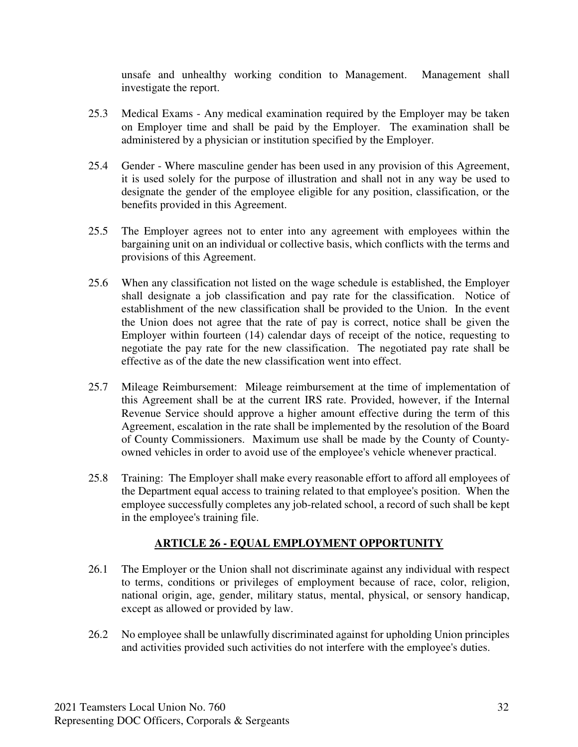unsafe and unhealthy working condition to Management. Management shall investigate the report.

- 25.3 Medical Exams Any medical examination required by the Employer may be taken on Employer time and shall be paid by the Employer. The examination shall be administered by a physician or institution specified by the Employer.
- 25.4 Gender Where masculine gender has been used in any provision of this Agreement, it is used solely for the purpose of illustration and shall not in any way be used to designate the gender of the employee eligible for any position, classification, or the benefits provided in this Agreement.
- 25.5 The Employer agrees not to enter into any agreement with employees within the bargaining unit on an individual or collective basis, which conflicts with the terms and provisions of this Agreement.
- 25.6 When any classification not listed on the wage schedule is established, the Employer shall designate a job classification and pay rate for the classification. Notice of establishment of the new classification shall be provided to the Union. In the event the Union does not agree that the rate of pay is correct, notice shall be given the Employer within fourteen (14) calendar days of receipt of the notice, requesting to negotiate the pay rate for the new classification. The negotiated pay rate shall be effective as of the date the new classification went into effect.
- 25.7 Mileage Reimbursement: Mileage reimbursement at the time of implementation of this Agreement shall be at the current IRS rate. Provided, however, if the Internal Revenue Service should approve a higher amount effective during the term of this Agreement, escalation in the rate shall be implemented by the resolution of the Board of County Commissioners. Maximum use shall be made by the County of Countyowned vehicles in order to avoid use of the employee's vehicle whenever practical.
- 25.8 Training: The Employer shall make every reasonable effort to afford all employees of the Department equal access to training related to that employee's position. When the employee successfully completes any job-related school, a record of such shall be kept in the employee's training file.

#### **ARTICLE 26 - EQUAL EMPLOYMENT OPPORTUNITY**

- 26.1 The Employer or the Union shall not discriminate against any individual with respect to terms, conditions or privileges of employment because of race, color, religion, national origin, age, gender, military status, mental, physical, or sensory handicap, except as allowed or provided by law.
- 26.2 No employee shall be unlawfully discriminated against for upholding Union principles and activities provided such activities do not interfere with the employee's duties.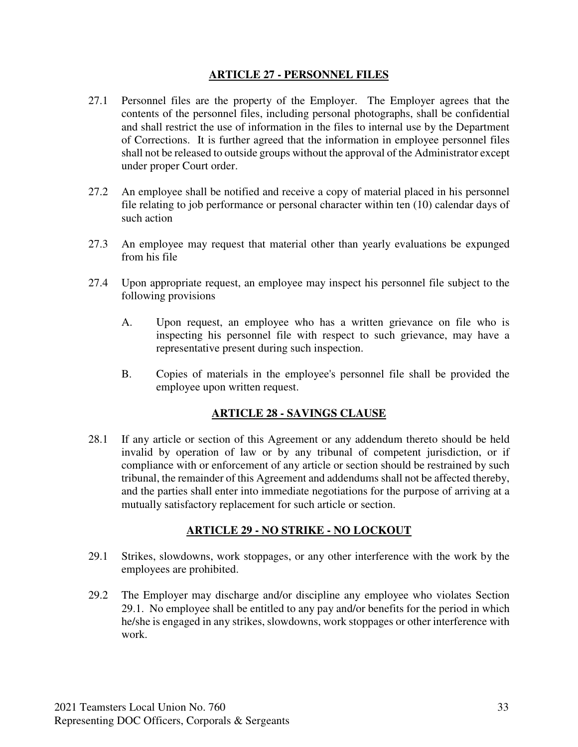#### **ARTICLE 27 - PERSONNEL FILES**

- 27.1 Personnel files are the property of the Employer. The Employer agrees that the contents of the personnel files, including personal photographs, shall be confidential and shall restrict the use of information in the files to internal use by the Department of Corrections. It is further agreed that the information in employee personnel files shall not be released to outside groups without the approval of the Administrator except under proper Court order.
- 27.2 An employee shall be notified and receive a copy of material placed in his personnel file relating to job performance or personal character within ten (10) calendar days of such action
- 27.3 An employee may request that material other than yearly evaluations be expunged from his file
- 27.4 Upon appropriate request, an employee may inspect his personnel file subject to the following provisions
	- A. Upon request, an employee who has a written grievance on file who is inspecting his personnel file with respect to such grievance, may have a representative present during such inspection.
	- B. Copies of materials in the employee's personnel file shall be provided the employee upon written request.

#### **ARTICLE 28 - SAVINGS CLAUSE**

28.1 If any article or section of this Agreement or any addendum thereto should be held invalid by operation of law or by any tribunal of competent jurisdiction, or if compliance with or enforcement of any article or section should be restrained by such tribunal, the remainder of this Agreement and addendums shall not be affected thereby, and the parties shall enter into immediate negotiations for the purpose of arriving at a mutually satisfactory replacement for such article or section.

#### **ARTICLE 29 - NO STRIKE - NO LOCKOUT**

- 29.1 Strikes, slowdowns, work stoppages, or any other interference with the work by the employees are prohibited.
- 29.2 The Employer may discharge and/or discipline any employee who violates Section 29.1. No employee shall be entitled to any pay and/or benefits for the period in which he/she is engaged in any strikes, slowdowns, work stoppages or other interference with work.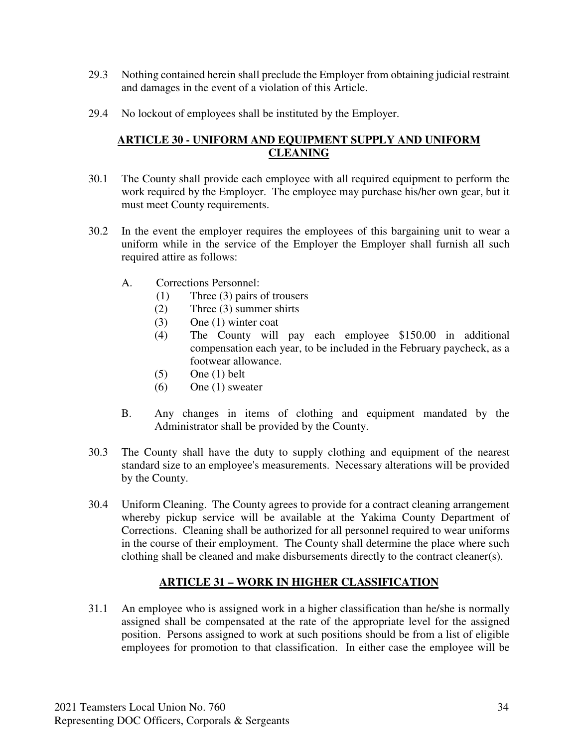- 29.3 Nothing contained herein shall preclude the Employer from obtaining judicial restraint and damages in the event of a violation of this Article.
- 29.4 No lockout of employees shall be instituted by the Employer.

### **ARTICLE 30 - UNIFORM AND EQUIPMENT SUPPLY AND UNIFORM CLEANING**

- 30.1 The County shall provide each employee with all required equipment to perform the work required by the Employer. The employee may purchase his/her own gear, but it must meet County requirements.
- 30.2 In the event the employer requires the employees of this bargaining unit to wear a uniform while in the service of the Employer the Employer shall furnish all such required attire as follows:
	- A. Corrections Personnel:
		- (1) Three (3) pairs of trousers
		- (2) Three (3) summer shirts
		- (3) One (1) winter coat
		- (4) The County will pay each employee \$150.00 in additional compensation each year, to be included in the February paycheck, as a footwear allowance.
		- $(5)$  One  $(1)$  belt
		- (6) One (1) sweater
	- B. Any changes in items of clothing and equipment mandated by the Administrator shall be provided by the County.
- 30.3 The County shall have the duty to supply clothing and equipment of the nearest standard size to an employee's measurements. Necessary alterations will be provided by the County.
- 30.4 Uniform Cleaning. The County agrees to provide for a contract cleaning arrangement whereby pickup service will be available at the Yakima County Department of Corrections. Cleaning shall be authorized for all personnel required to wear uniforms in the course of their employment. The County shall determine the place where such clothing shall be cleaned and make disbursements directly to the contract cleaner(s).

## **ARTICLE 31 – WORK IN HIGHER CLASSIFICATION**

31.1 An employee who is assigned work in a higher classification than he/she is normally assigned shall be compensated at the rate of the appropriate level for the assigned position. Persons assigned to work at such positions should be from a list of eligible employees for promotion to that classification. In either case the employee will be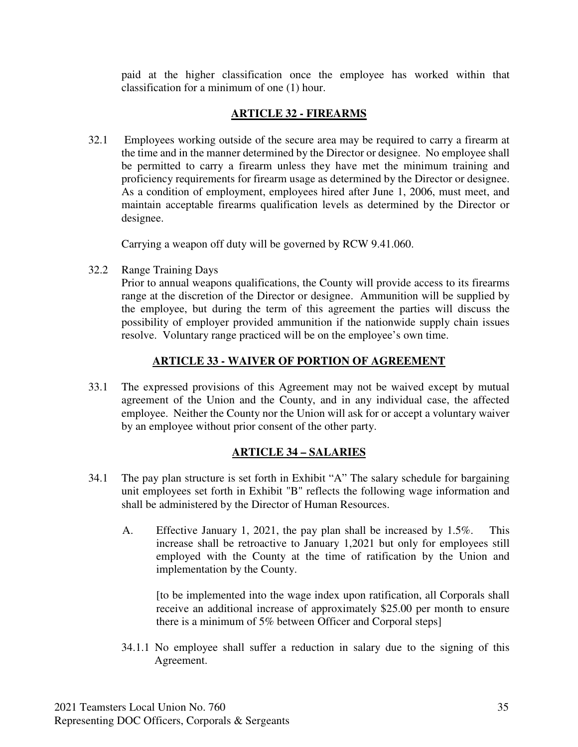paid at the higher classification once the employee has worked within that classification for a minimum of one (1) hour.

### **ARTICLE 32 - FIREARMS**

32.1 Employees working outside of the secure area may be required to carry a firearm at the time and in the manner determined by the Director or designee. No employee shall be permitted to carry a firearm unless they have met the minimum training and proficiency requirements for firearm usage as determined by the Director or designee. As a condition of employment, employees hired after June 1, 2006, must meet, and maintain acceptable firearms qualification levels as determined by the Director or designee.

Carrying a weapon off duty will be governed by RCW 9.41.060.

32.2 Range Training Days

 Prior to annual weapons qualifications, the County will provide access to its firearms range at the discretion of the Director or designee. Ammunition will be supplied by the employee, but during the term of this agreement the parties will discuss the possibility of employer provided ammunition if the nationwide supply chain issues resolve. Voluntary range practiced will be on the employee's own time.

### **ARTICLE 33 - WAIVER OF PORTION OF AGREEMENT**

33.1 The expressed provisions of this Agreement may not be waived except by mutual agreement of the Union and the County, and in any individual case, the affected employee. Neither the County nor the Union will ask for or accept a voluntary waiver by an employee without prior consent of the other party.

#### **ARTICLE 34 – SALARIES**

- 34.1 The pay plan structure is set forth in Exhibit "A" The salary schedule for bargaining unit employees set forth in Exhibit "B" reflects the following wage information and shall be administered by the Director of Human Resources.
	- A. Effective January 1, 2021, the pay plan shall be increased by 1.5%. This increase shall be retroactive to January 1,2021 but only for employees still employed with the County at the time of ratification by the Union and implementation by the County.

[to be implemented into the wage index upon ratification, all Corporals shall receive an additional increase of approximately \$25.00 per month to ensure there is a minimum of 5% between Officer and Corporal steps]

34.1.1 No employee shall suffer a reduction in salary due to the signing of this Agreement.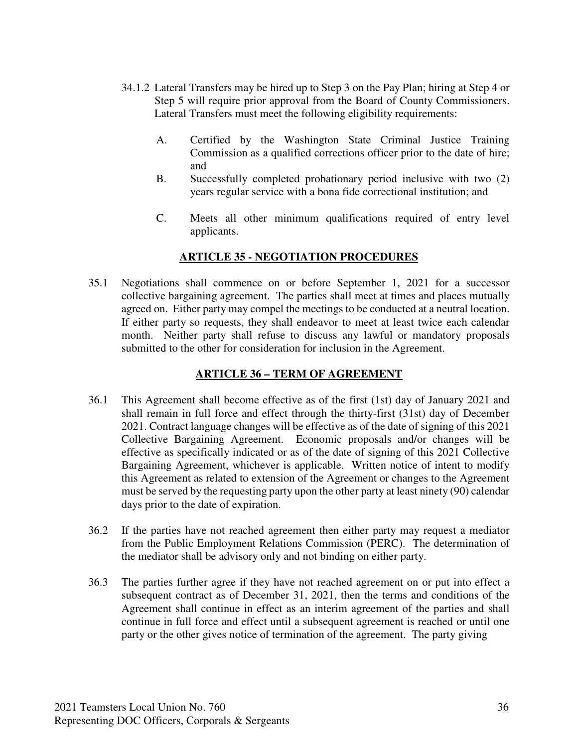- 34.1.2 Lateral Transfers may be hired up to Step 3 on the Pay Plan; hiring at Step 4 or Step 5 will require prior approval from the Board of County Commissioners. Lateral Transfers must meet the following eligibility requirements:
	- A. Certified by the Washington State Criminal Justice Training Commission as a qualified corrections officer prior to the date of hire; and
	- B. Successfully completed probationary period inclusive with two (2) years regular service with a bona fide correctional institution; and
	- C. Meets all other minimum qualifications required of entry level applicants.

### **ARTICLE 35 - NEGOTIATION PROCEDURES**

35.1 Negotiations shall commence on or before September 1, 2021 for a successor collective bargaining agreement. The parties shall meet at times and places mutually agreed on. Either party may compel the meetings to be conducted at a neutral location. If either party so requests, they shall endeavor to meet at least twice each calendar month. Neither party shall refuse to discuss any lawful or mandatory proposals submitted to the other for consideration for inclusion in the Agreement.

#### **ARTICLE 36 – TERM OF AGREEMENT**

- 36.1 This Agreement shall become effective as of the first (1st) day of January 2021 and shall remain in full force and effect through the thirty-first (31st) day of December 2021. Contract language changes will be effective as of the date of signing of this 2021 Collective Bargaining Agreement. Economic proposals and/or changes will be effective as specifically indicated or as of the date of signing of this 2021 Collective Bargaining Agreement, whichever is applicable. Written notice of intent to modify this Agreement as related to extension of the Agreement or changes to the Agreement must be served by the requesting party upon the other party at least ninety (90) calendar days prior to the date of expiration.
- 36.2 If the parties have not reached agreement then either party may request a mediator from the Public Employment Relations Commission (PERC). The determination of the mediator shall be advisory only and not binding on either party.
- 36.3 The parties further agree if they have not reached agreement on or put into effect a subsequent contract as of December 31, 2021, then the terms and conditions of the Agreement shall continue in effect as an interim agreement of the parties and shall continue in full force and effect until a subsequent agreement is reached or until one party or the other gives notice of termination of the agreement. The party giving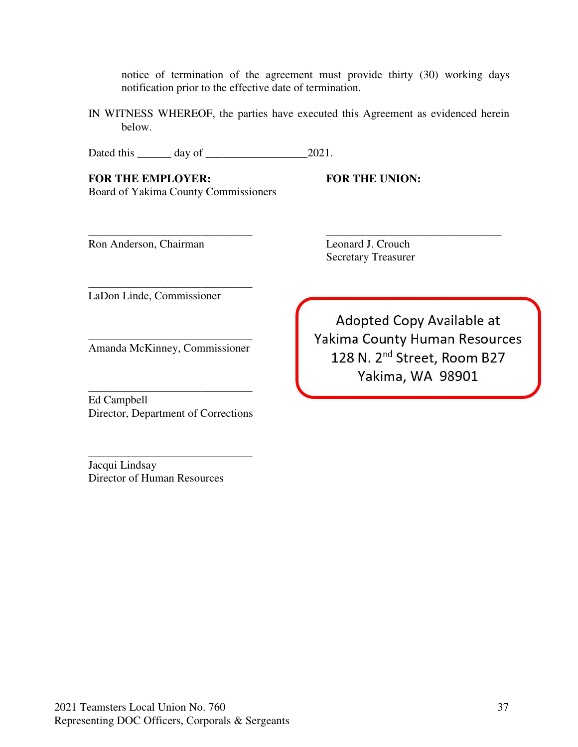notice of termination of the agreement must provide thirty (30) working days notification prior to the effective date of termination.

IN WITNESS WHEREOF, the parties have executed this Agreement as evidenced herein below.

\_\_\_\_\_\_\_\_\_\_\_\_\_\_\_\_\_\_\_\_\_\_\_\_\_\_\_\_\_ \_\_\_\_\_\_\_\_\_\_\_\_\_\_\_\_\_\_\_\_\_\_\_\_\_\_\_\_\_\_\_

Dated this \_\_\_\_\_\_ day of \_\_\_\_\_\_\_\_\_\_\_\_\_\_\_\_\_\_2021.

FOR THE EMPLOYER: FOR THE UNION: Board of Yakima County Commissioners

Ron Anderson, Chairman Leonard J. Crouch

Secretary Treasurer

LaDon Linde, Commissioner

\_\_\_\_\_\_\_\_\_\_\_\_\_\_\_\_\_\_\_\_\_\_\_\_\_\_\_\_\_ Amanda McKinney, Commissioner

\_\_\_\_\_\_\_\_\_\_\_\_\_\_\_\_\_\_\_\_\_\_\_\_\_\_\_\_\_

\_\_\_\_\_\_\_\_\_\_\_\_\_\_\_\_\_\_\_\_\_\_\_\_\_\_\_\_\_ Ed Campbell Director, Department of Corrections

\_\_\_\_\_\_\_\_\_\_\_\_\_\_\_\_\_\_\_\_\_\_\_\_\_\_\_\_\_

Jacqui Lindsay Director of Human Resources

Adopted Copy Available at Yakima County Human Resources 128 N. 2<sup>nd</sup> Street, Room B27 Yakima, WA 98901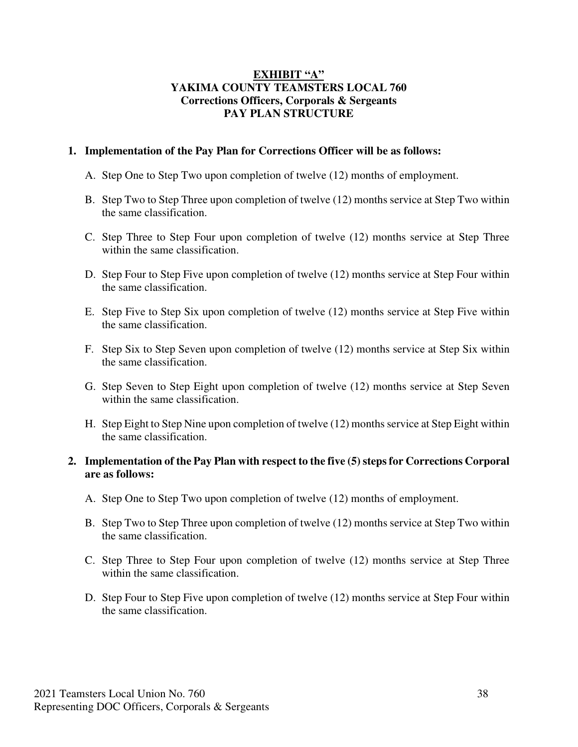#### **EXHIBIT "A" YAKIMA COUNTY TEAMSTERS LOCAL 760 Corrections Officers, Corporals & Sergeants PAY PLAN STRUCTURE**

#### **1. Implementation of the Pay Plan for Corrections Officer will be as follows:**

- A. Step One to Step Two upon completion of twelve (12) months of employment.
- B. Step Two to Step Three upon completion of twelve (12) months service at Step Two within the same classification.
- C. Step Three to Step Four upon completion of twelve (12) months service at Step Three within the same classification.
- D. Step Four to Step Five upon completion of twelve (12) months service at Step Four within the same classification.
- E. Step Five to Step Six upon completion of twelve (12) months service at Step Five within the same classification.
- F. Step Six to Step Seven upon completion of twelve (12) months service at Step Six within the same classification.
- G. Step Seven to Step Eight upon completion of twelve (12) months service at Step Seven within the same classification.
- H. Step Eight to Step Nine upon completion of twelve (12) months service at Step Eight within the same classification.

#### **2. Implementation of the Pay Plan with respect to the five (5) steps for Corrections Corporal are as follows:**

- A. Step One to Step Two upon completion of twelve (12) months of employment.
- B. Step Two to Step Three upon completion of twelve (12) months service at Step Two within the same classification.
- C. Step Three to Step Four upon completion of twelve (12) months service at Step Three within the same classification.
- D. Step Four to Step Five upon completion of twelve (12) months service at Step Four within the same classification.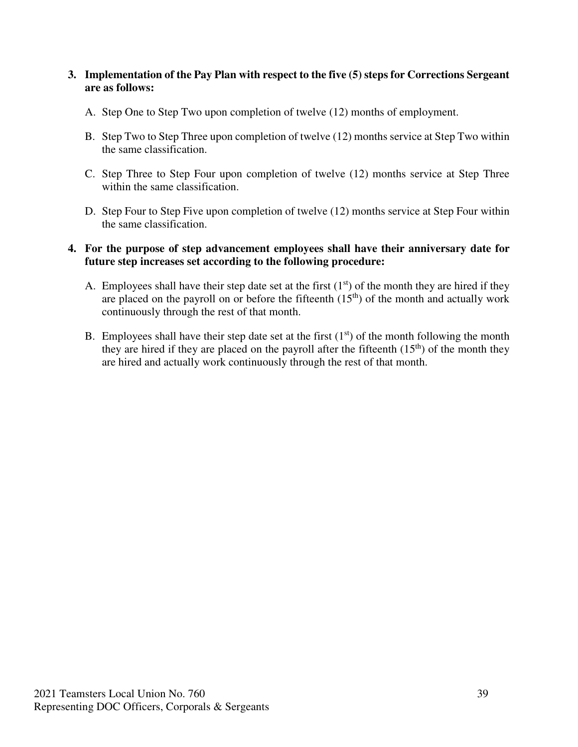#### **3. Implementation of the Pay Plan with respect to the five (5) steps for Corrections Sergeant are as follows:**

- A. Step One to Step Two upon completion of twelve (12) months of employment.
- B. Step Two to Step Three upon completion of twelve (12) months service at Step Two within the same classification.
- C. Step Three to Step Four upon completion of twelve (12) months service at Step Three within the same classification.
- D. Step Four to Step Five upon completion of twelve (12) months service at Step Four within the same classification.

#### **4. For the purpose of step advancement employees shall have their anniversary date for future step increases set according to the following procedure:**

- A. Employees shall have their step date set at the first  $(1<sup>st</sup>)$  of the month they are hired if they are placed on the payroll on or before the fifteenth  $(15<sup>th</sup>)$  of the month and actually work continuously through the rest of that month.
- B. Employees shall have their step date set at the first  $(1<sup>st</sup>)$  of the month following the month they are hired if they are placed on the payroll after the fifteenth  $(15<sup>th</sup>)$  of the month they are hired and actually work continuously through the rest of that month.